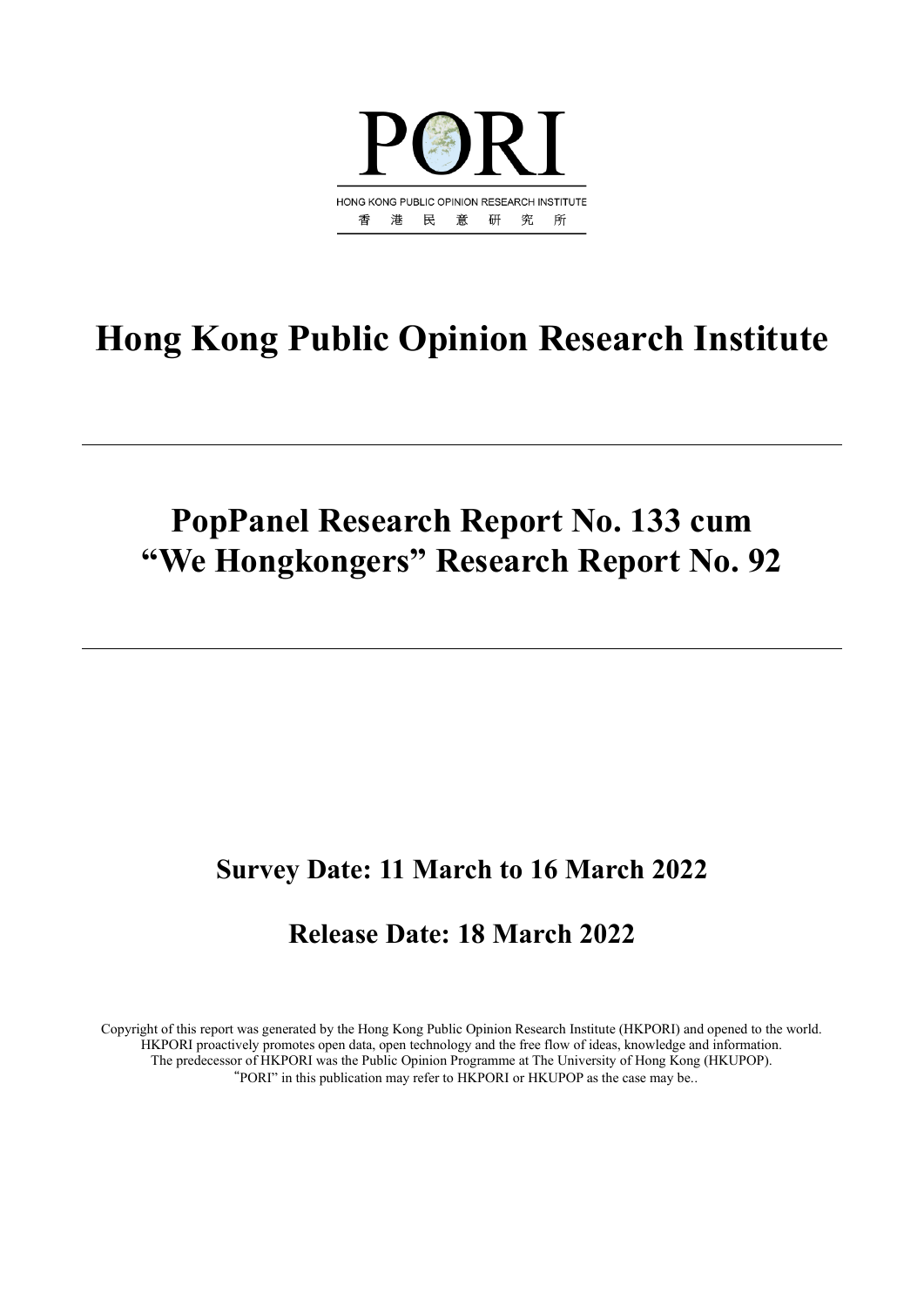

# **Hong Kong Public Opinion Research Institute**

# **PopPanel Research Report No. 133 cum "We Hongkongers" Research Report No. 92**

# **Survey Date: 11 March to 16 March 2022**

# **Release Date: 18 March 2022**

Copyright of this report was generated by the Hong Kong Public Opinion Research Institute (HKPORI) and opened to the world. HKPORI proactively promotes open data, open technology and the free flow of ideas, knowledge and information. The predecessor of HKPORI was the Public Opinion Programme at The University of Hong Kong (HKUPOP). "PORI" in this publication may refer to HKPORI or HKUPOP as the case may be..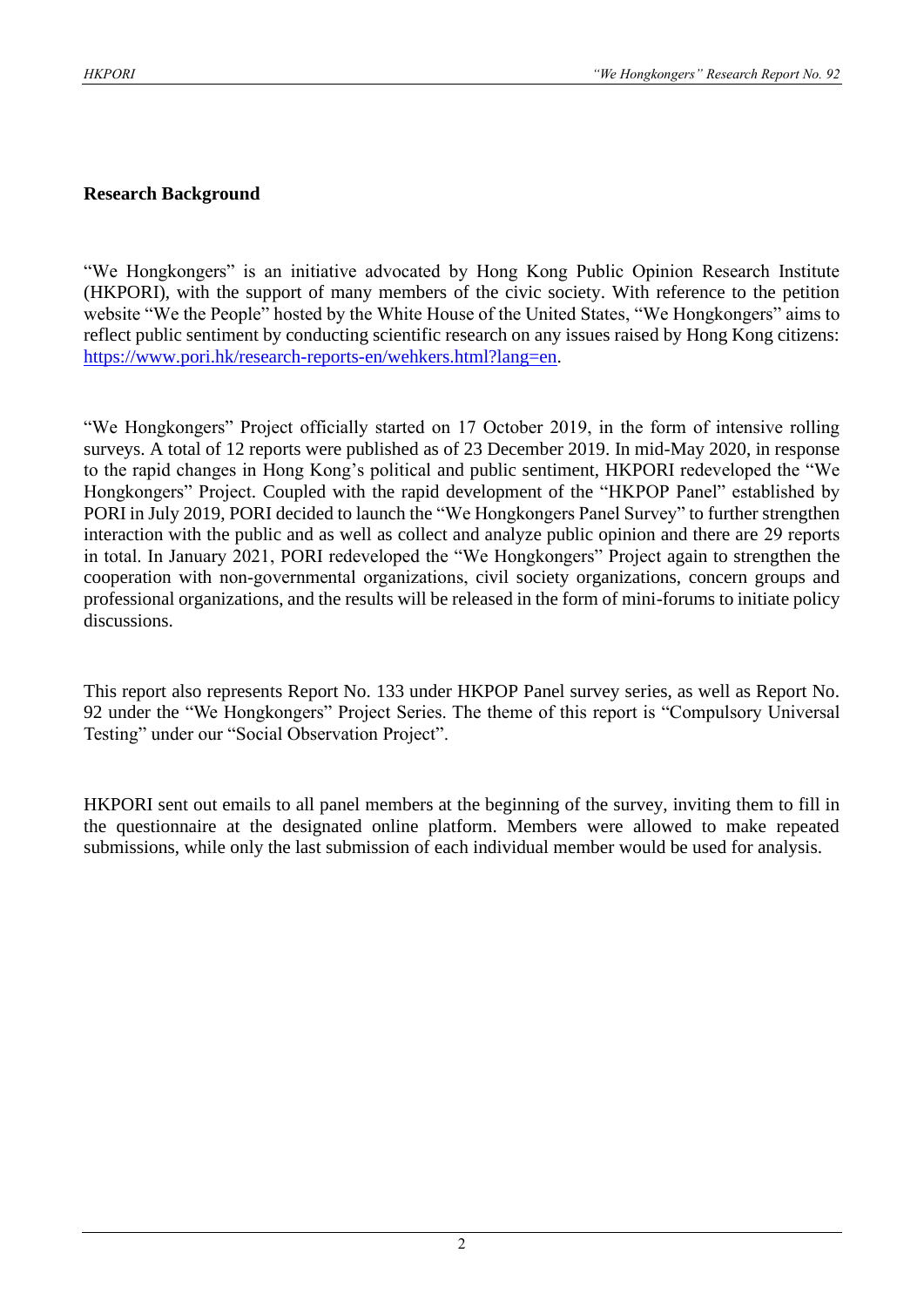#### **Research Background**

"We Hongkongers" is an initiative advocated by Hong Kong Public Opinion Research Institute (HKPORI), with the support of many members of the civic society. With reference to the petition website "We the People" hosted by the White House of the United States, "We Hongkongers" aims to reflect public sentiment by conducting scientific research on any issues raised by Hong Kong citizens: [https://www.pori.hk/research-reports-en/wehkers.html?lang=en.](https://www.pori.hk/research-reports-en/wehkers.html?lang=en)

"We Hongkongers" Project officially started on 17 October 2019, in the form of intensive rolling surveys. A total of 12 reports were published as of 23 December 2019. In mid-May 2020, in response to the rapid changes in Hong Kong's political and public sentiment, HKPORI redeveloped the "We Hongkongers" Project. Coupled with the rapid development of the "HKPOP Panel" established by PORI in July 2019, PORI decided to launch the "We Hongkongers Panel Survey" to further strengthen interaction with the public and as well as collect and analyze public opinion and there are 29 reports in total. In January 2021, PORI redeveloped the "We Hongkongers" Project again to strengthen the cooperation with non-governmental organizations, civil society organizations, concern groups and professional organizations, and the results will be released in the form of mini-forums to initiate policy discussions.

This report also represents Report No. 133 under HKPOP Panel survey series, as well as Report No. 92 under the "We Hongkongers" Project Series. The theme of this report is "Compulsory Universal Testing" under our "Social Observation Project".

HKPORI sent out emails to all panel members at the beginning of the survey, inviting them to fill in the questionnaire at the designated online platform. Members were allowed to make repeated submissions, while only the last submission of each individual member would be used for analysis.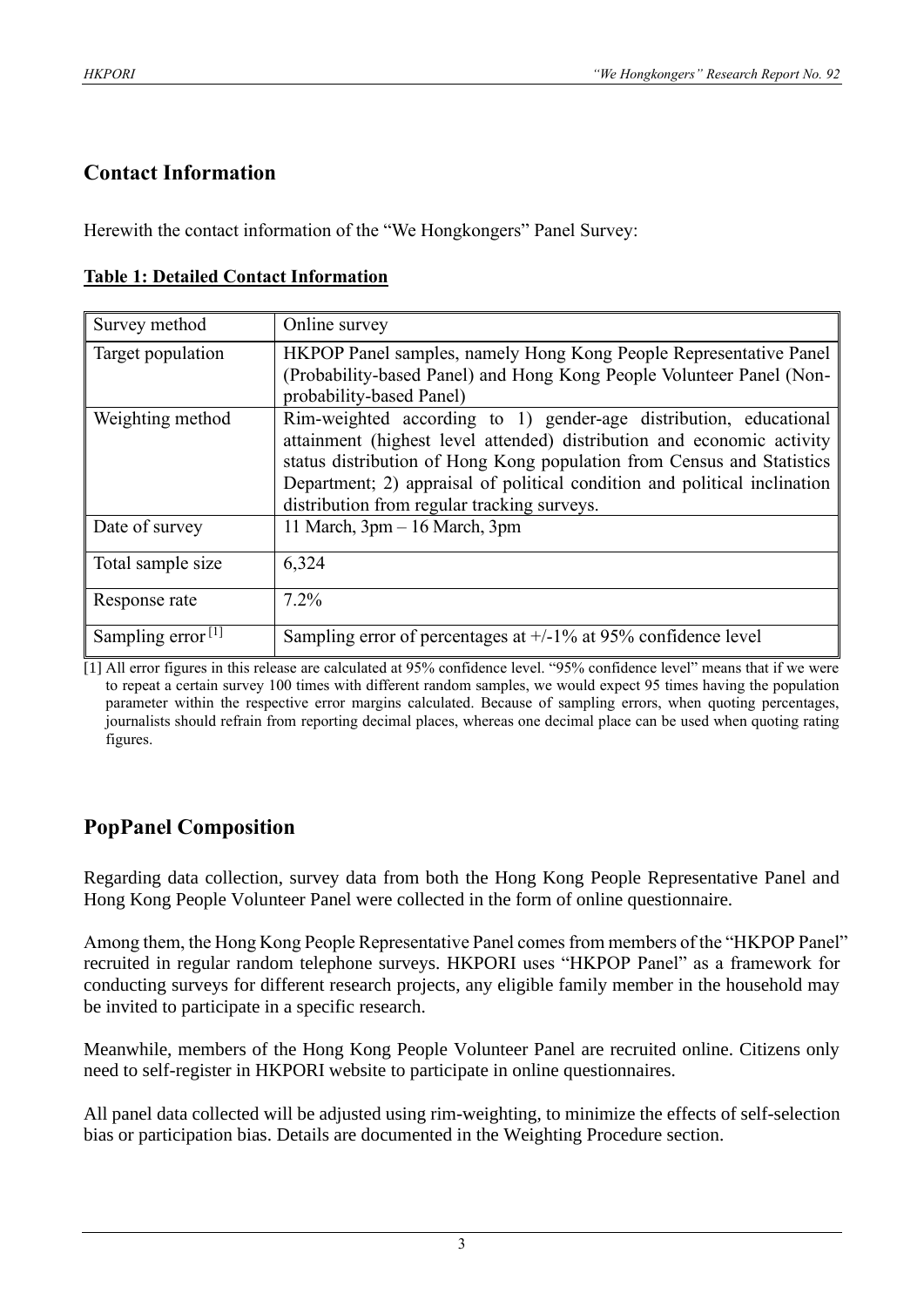# **Contact Information**

Herewith the contact information of the "We Hongkongers" Panel Survey:

| Survey method        | Online survey                                                                                                                                                                                                                                                                                                                                     |
|----------------------|---------------------------------------------------------------------------------------------------------------------------------------------------------------------------------------------------------------------------------------------------------------------------------------------------------------------------------------------------|
| Target population    | HKPOP Panel samples, namely Hong Kong People Representative Panel<br>(Probability-based Panel) and Hong Kong People Volunteer Panel (Non-<br>probability-based Panel)                                                                                                                                                                             |
| Weighting method     | Rim-weighted according to 1) gender-age distribution, educational<br>attainment (highest level attended) distribution and economic activity<br>status distribution of Hong Kong population from Census and Statistics<br>Department; 2) appraisal of political condition and political inclination<br>distribution from regular tracking surveys. |
| Date of survey       | 11 March, 3pm - 16 March, 3pm                                                                                                                                                                                                                                                                                                                     |
| Total sample size    | 6,324                                                                                                                                                                                                                                                                                                                                             |
| Response rate        | $7.2\%$                                                                                                                                                                                                                                                                                                                                           |
| Sampling error $[1]$ | Sampling error of percentages at $+/-1\%$ at 95% confidence level                                                                                                                                                                                                                                                                                 |

#### **Table 1: Detailed Contact Information**

[1] All error figures in this release are calculated at 95% confidence level. "95% confidence level" means that if we were to repeat a certain survey 100 times with different random samples, we would expect 95 times having the population parameter within the respective error margins calculated. Because of sampling errors, when quoting percentages, journalists should refrain from reporting decimal places, whereas one decimal place can be used when quoting rating figures.

# **PopPanel Composition**

Regarding data collection, survey data from both the Hong Kong People Representative Panel and Hong Kong People Volunteer Panel were collected in the form of online questionnaire.

Among them, the Hong Kong People Representative Panel comes from members of the "HKPOP Panel" recruited in regular random telephone surveys. HKPORI uses "HKPOP Panel" as a framework for conducting surveys for different research projects, any eligible family member in the household may be invited to participate in a specific research.

Meanwhile, members of the Hong Kong People Volunteer Panel are recruited online. Citizens only need to self-register in HKPORI website to participate in online questionnaires.

All panel data collected will be adjusted using rim-weighting, to minimize the effects of self-selection bias or participation bias. Details are documented in the Weighting Procedure section.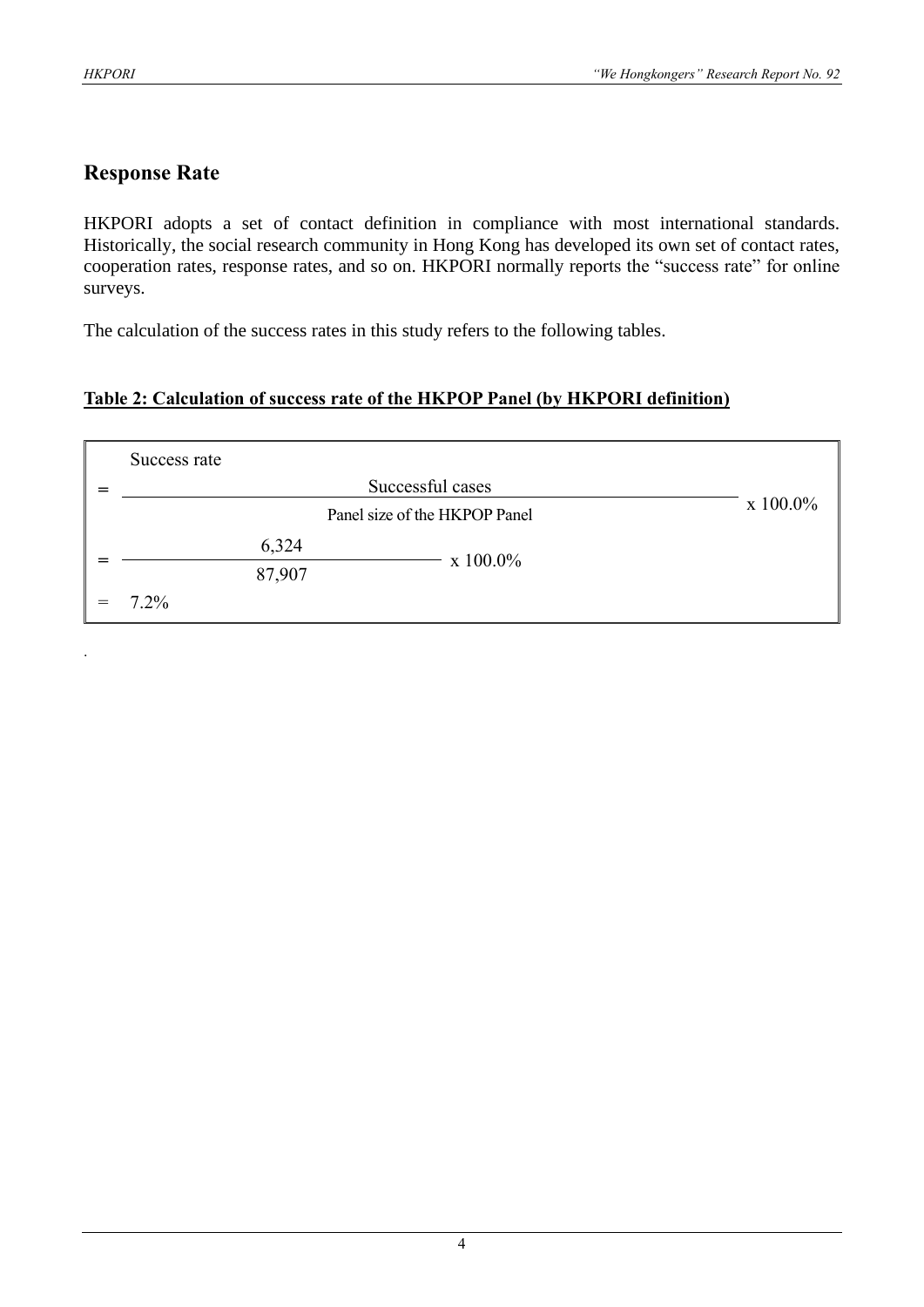.

# **Response Rate**

HKPORI adopts a set of contact definition in compliance with most international standards. Historically, the social research community in Hong Kong has developed its own set of contact rates, cooperation rates, response rates, and so on. HKPORI normally reports the "success rate" for online surveys.

The calculation of the success rates in this study refers to the following tables.

#### **Table 2: Calculation of success rate of the HKPOP Panel (by HKPORI definition)**

| Success rate |             |             |  |
|--------------|-------------|-------------|--|
|              |             |             |  |
|              | $x 100.0\%$ |             |  |
|              | 6,324       | $x 100.0\%$ |  |
|              | 87,907      |             |  |
| $7.2\%$      |             |             |  |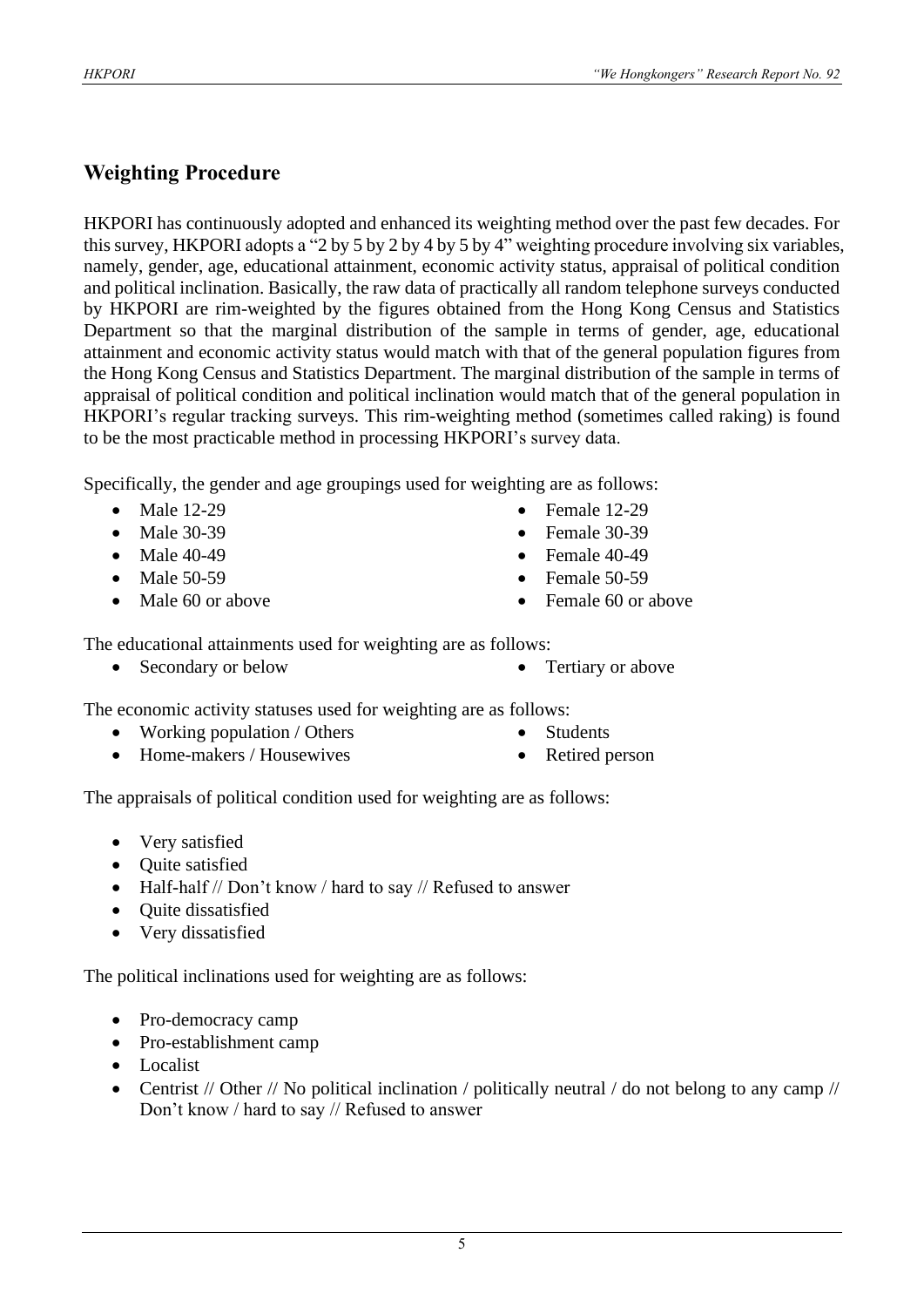# **Weighting Procedure**

HKPORI has continuously adopted and enhanced its weighting method over the past few decades. For this survey, HKPORI adopts a "2 by 5 by 2 by 4 by 5 by 4" weighting procedure involving six variables, namely, gender, age, educational attainment, economic activity status, appraisal of political condition and political inclination. Basically, the raw data of practically all random telephone surveys conducted by HKPORI are rim-weighted by the figures obtained from the Hong Kong Census and Statistics Department so that the marginal distribution of the sample in terms of gender, age, educational attainment and economic activity status would match with that of the general population figures from the Hong Kong Census and Statistics Department. The marginal distribution of the sample in terms of appraisal of political condition and political inclination would match that of the general population in HKPORI's regular tracking surveys. This rim-weighting method (sometimes called raking) is found to be the most practicable method in processing HKPORI's survey data.

Specifically, the gender and age groupings used for weighting are as follows:

- Male 12-29
- Male 30-39
- Male 40-49
- Male 50-59
- Male 60 or above
- Female 12-29
- Female 30-39
- $\bullet$  Female 40-49
- Female  $50-59$
- Female 60 or above

The educational attainments used for weighting are as follows:

• Secondary or below • Tertiary or above

The economic activity statuses used for weighting are as follows:

- Working population / Others
- Home-makers / Housewives
- **Students**
- Retired person

The appraisals of political condition used for weighting are as follows:

- Very satisfied
- Ouite satisfied
- Half-half // Don't know / hard to say // Refused to answer
- Quite dissatisfied
- Very dissatisfied

The political inclinations used for weighting are as follows:

- Pro-democracy camp
- Pro-establishment camp
- Localist
- Centrist // Other // No political inclination / politically neutral / do not belong to any camp // Don't know / hard to say // Refused to answer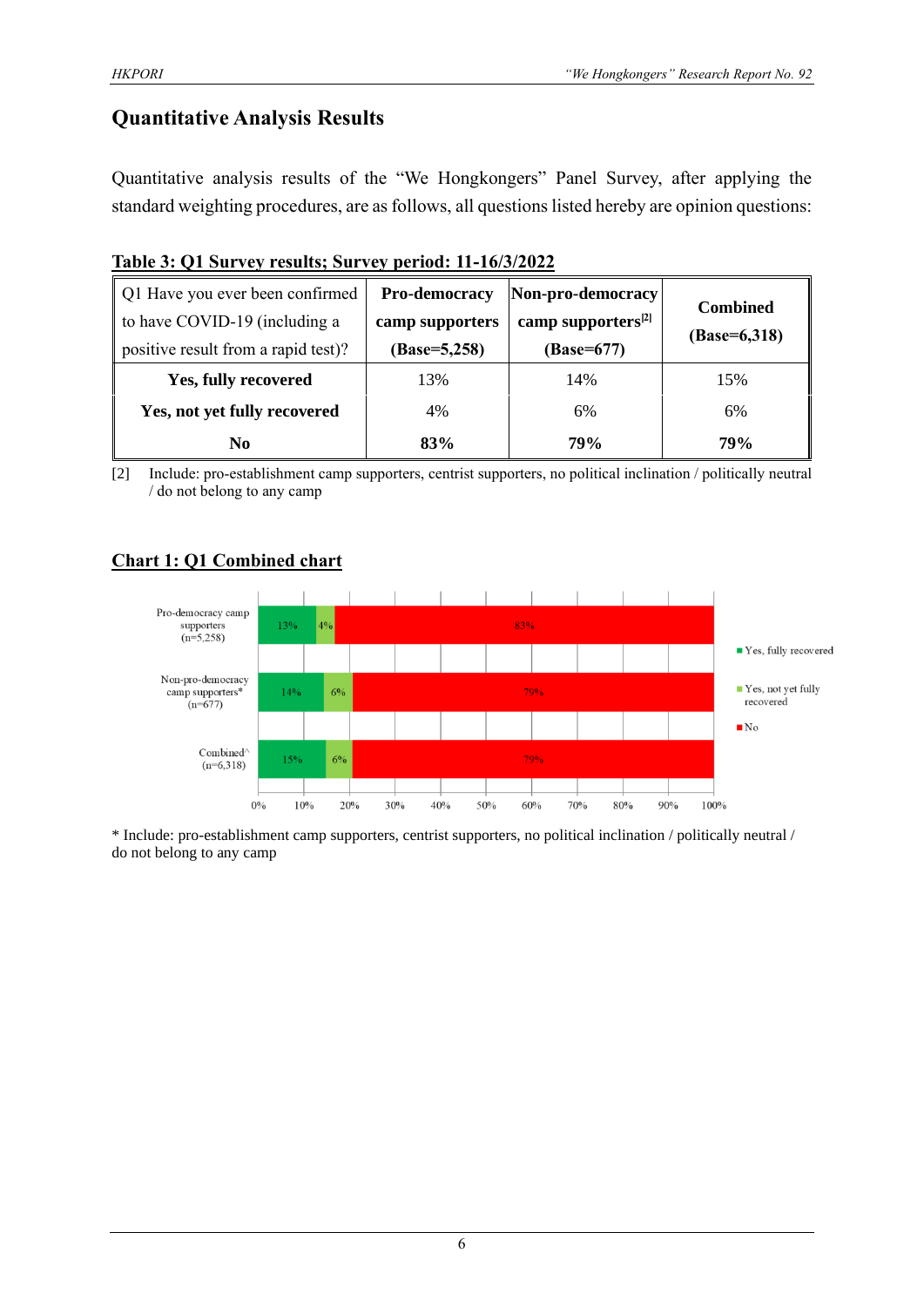# **Quantitative Analysis Results**

Quantitative analysis results of the "We Hongkongers" Panel Survey, after applying the standard weighting procedures, are as follows, all questions listed hereby are opinion questions:

|  |  |  | Table 3: Q1 Survey results; Survey period: 11-16/3/2022 |
|--|--|--|---------------------------------------------------------|
|  |  |  |                                                         |

| Q1 Have you ever been confirmed<br>to have COVID-19 (including a<br>positive result from a rapid test)? | Pro-democracy<br>camp supporters<br>$(Base=5,258)$ | Non-pro-democracy<br>camp supporters <sup>[2]</sup><br>(Base=677) | <b>Combined</b><br>$(Base=6,318)$ |
|---------------------------------------------------------------------------------------------------------|----------------------------------------------------|-------------------------------------------------------------------|-----------------------------------|
| Yes, fully recovered                                                                                    | 13%                                                | 14%                                                               | 15%                               |
| Yes, not yet fully recovered                                                                            | 4%                                                 | 6%                                                                | 6%                                |
| No                                                                                                      | 83%                                                | 79%                                                               | <b>79%</b>                        |

[2] Include: pro-establishment camp supporters, centrist supporters, no political inclination / politically neutral / do not belong to any camp

# **Chart 1: Q1 Combined chart**

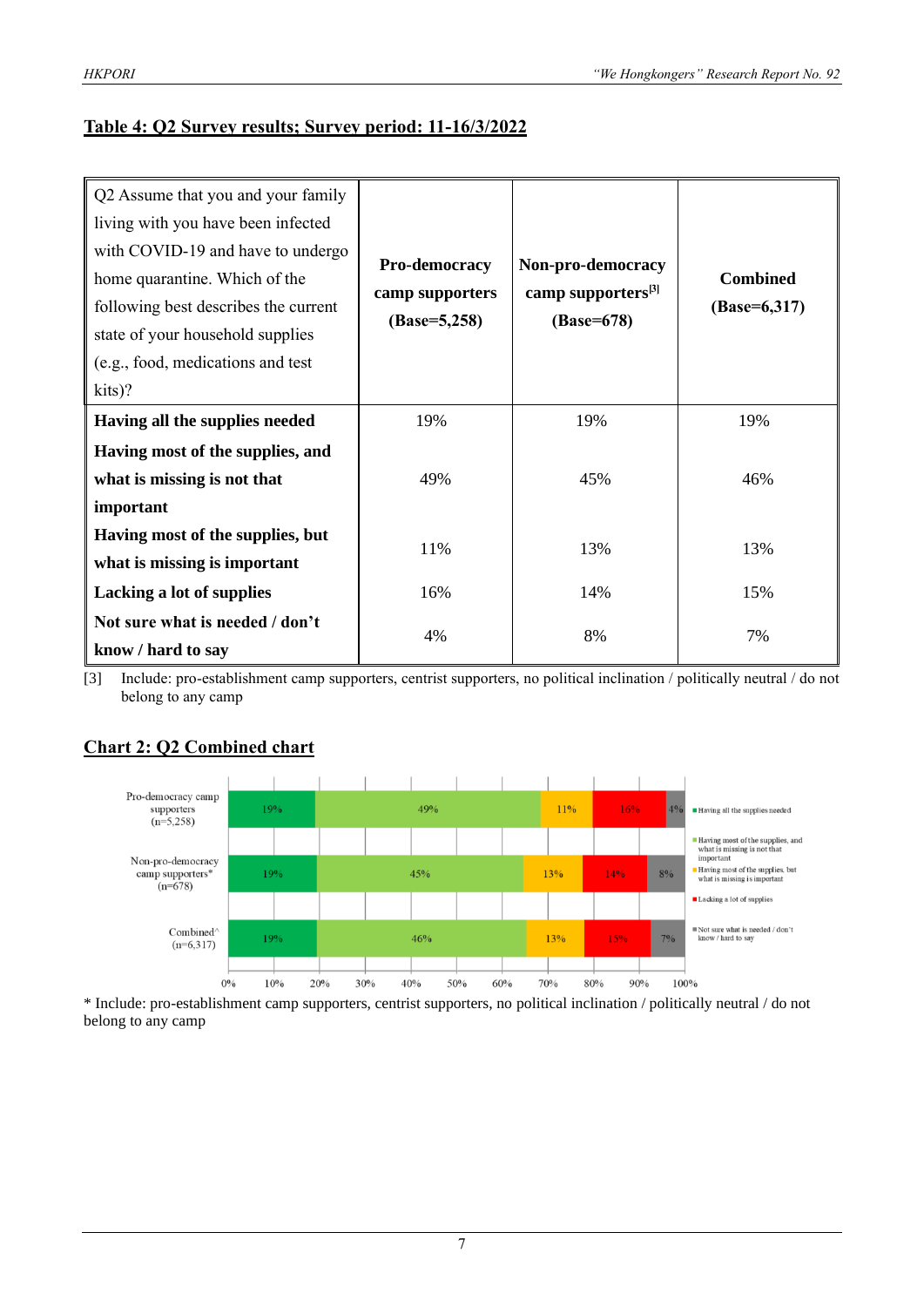#### **Table 4: Q2 Survey results; Survey period: 11-16/3/2022**

| Q2 Assume that you and your family   |                |                                                   |                 |  |
|--------------------------------------|----------------|---------------------------------------------------|-----------------|--|
| living with you have been infected   |                |                                                   |                 |  |
| with COVID-19 and have to undergo    |                |                                                   |                 |  |
| home quarantine. Which of the        | Pro-democracy  | Non-pro-democracy                                 | <b>Combined</b> |  |
| following best describes the current |                | camp supporters <sup>[3]</sup><br>camp supporters |                 |  |
| state of your household supplies     | $(Base=5,258)$ | (Base=678)                                        |                 |  |
| (e.g., food, medications and test    |                |                                                   |                 |  |
| kits)?                               |                |                                                   |                 |  |
| Having all the supplies needed       | 19%            | 19%                                               | 19%             |  |
| Having most of the supplies, and     |                |                                                   |                 |  |
| what is missing is not that          | 49%            | 45%                                               | 46%             |  |
| important                            |                |                                                   |                 |  |
| Having most of the supplies, but     | 11%            | 13%                                               |                 |  |
| what is missing is important         |                |                                                   | 13%             |  |
| Lacking a lot of supplies            | 16%            | 14%                                               | 15%             |  |
| Not sure what is needed / don't      |                |                                                   | 7%              |  |
| know / hard to say                   | 4%             | 8%                                                |                 |  |

[3] Include: pro-establishment camp supporters, centrist supporters, no political inclination / politically neutral / do not belong to any camp



## **Chart 2: Q2 Combined chart**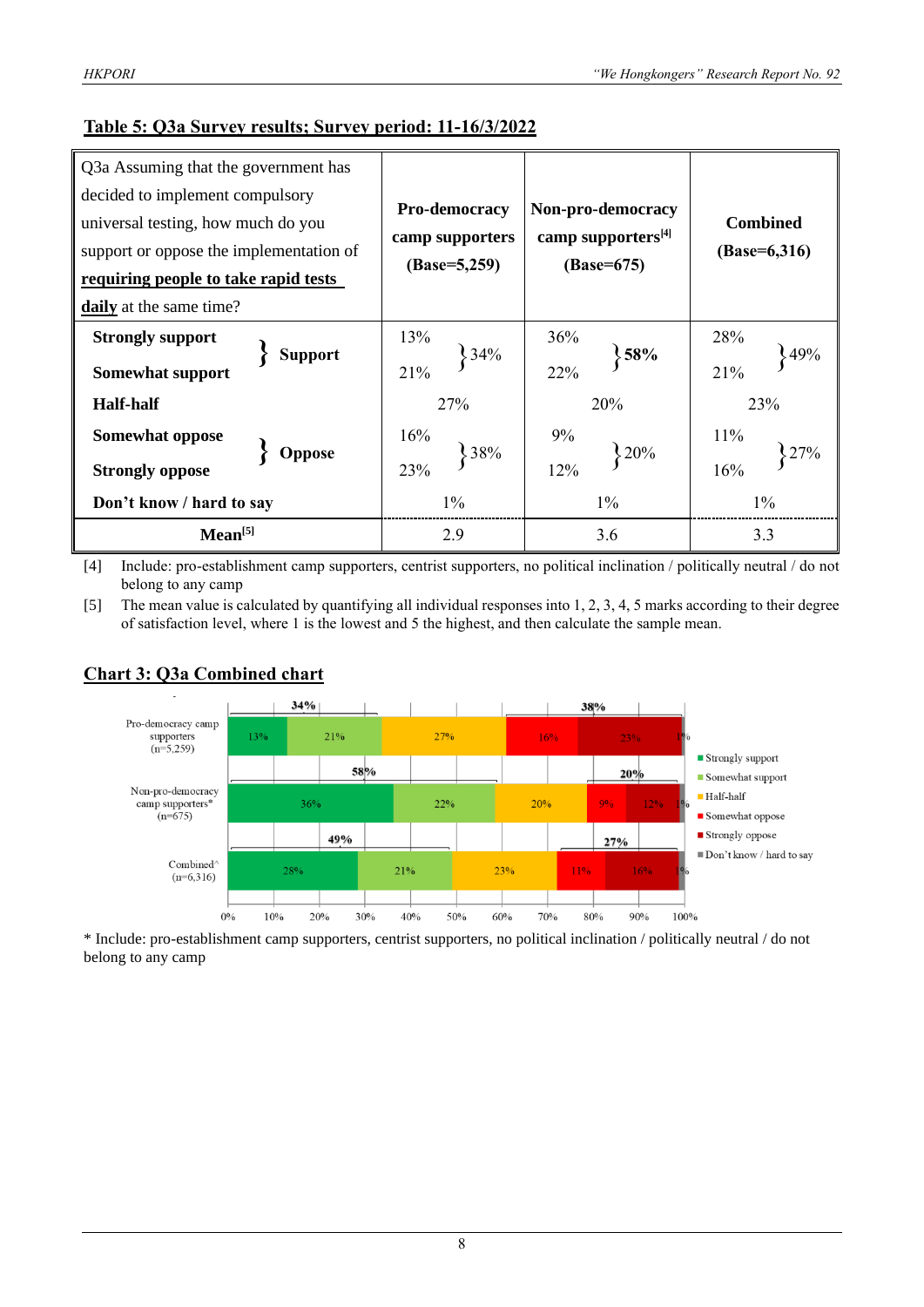| Q3a Assuming that the government has      |                 |                                |                                   |  |  |
|-------------------------------------------|-----------------|--------------------------------|-----------------------------------|--|--|
| decided to implement compulsory           |                 |                                |                                   |  |  |
| universal testing, how much do you        | Pro-democracy   | Non-pro-democracy              | <b>Combined</b><br>$(Base=6,316)$ |  |  |
| support or oppose the implementation of   | camp supporters | camp supporters <sup>[4]</sup> |                                   |  |  |
| requiring people to take rapid tests      | $(Base=5,259)$  | $(Base=675)$                   |                                   |  |  |
| daily at the same time?                   |                 |                                |                                   |  |  |
| <b>Strongly support</b>                   | 13%             | 36%                            | 28%                               |  |  |
| <b>Support</b><br><b>Somewhat support</b> | 34%<br>21%      | $\frac{1}{2}$ 58%<br>22%       | 49%<br>21%                        |  |  |
| <b>Half-half</b>                          | 27%             | 20%                            | 23%                               |  |  |
| <b>Somewhat oppose</b>                    | 16%<br>38%      | 9%<br>20%                      | 11%                               |  |  |
| <b>Oppose</b><br><b>Strongly oppose</b>   | 23%             | 12%                            | 16%                               |  |  |
| Don't know / hard to say                  | $1\%$           | $1\%$                          | $1\%$                             |  |  |
| Mean <sup>[5]</sup>                       | 2.9             | 3.6                            | 3.3                               |  |  |

[4] Include: pro-establishment camp supporters, centrist supporters, no political inclination / politically neutral / do not belong to any camp

[5] The mean value is calculated by quantifying all individual responses into 1, 2, 3, 4, 5 marks according to their degree of satisfaction level, where 1 is the lowest and 5 the highest, and then calculate the sample mean.



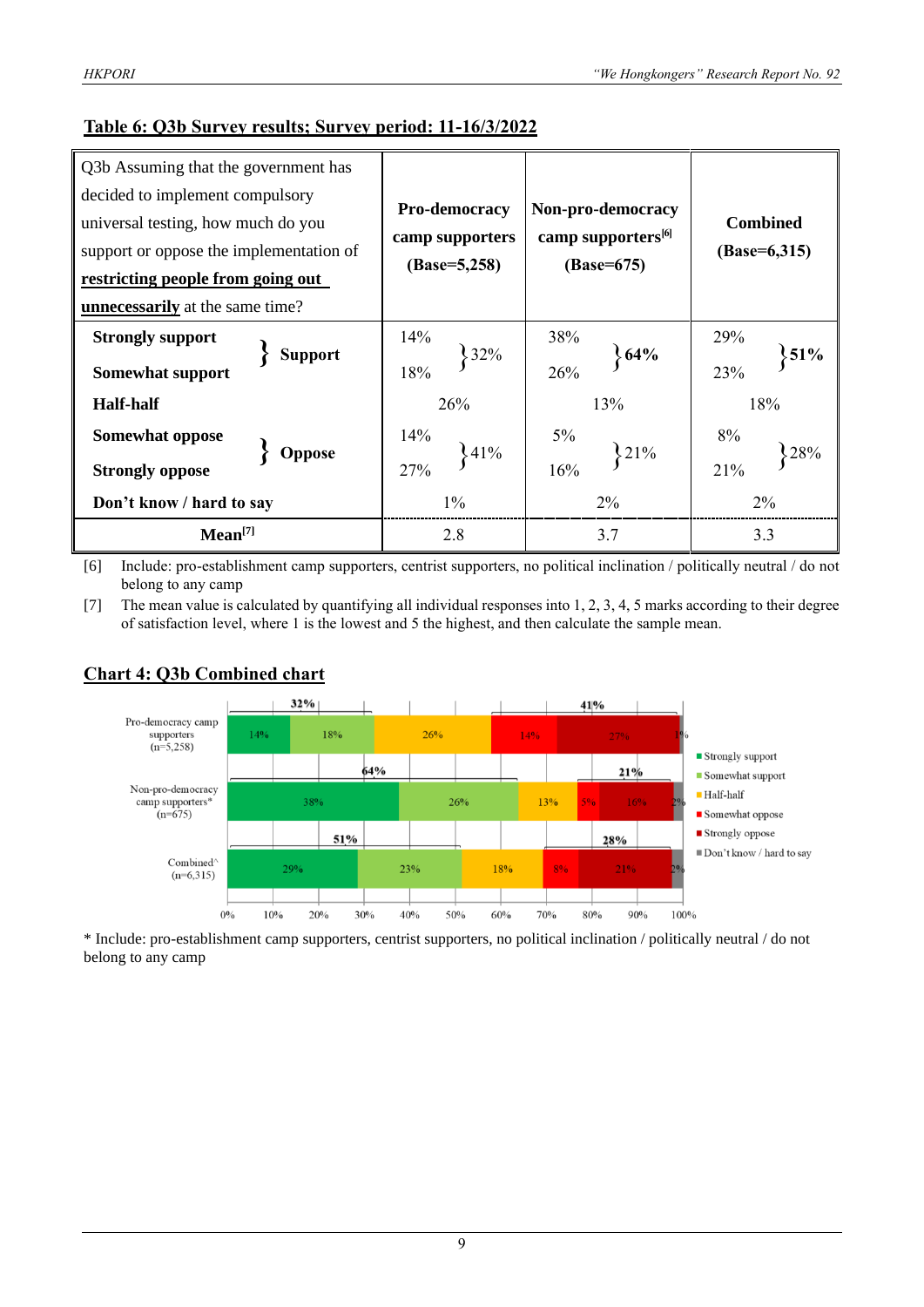#### **Table 6: Q3b Survey results; Survey period: 11-16/3/2022**

| Q3b Assuming that the government has      |                 |                                |                                   |  |  |
|-------------------------------------------|-----------------|--------------------------------|-----------------------------------|--|--|
| decided to implement compulsory           |                 |                                |                                   |  |  |
| universal testing, how much do you        | Pro-democracy   | Non-pro-democracy              | <b>Combined</b><br>$(Base=6,315)$ |  |  |
| support or oppose the implementation of   | camp supporters | camp supporters <sup>[6]</sup> |                                   |  |  |
| restricting people from going out         | $(Base=5,258)$  | (Base=675)                     |                                   |  |  |
| <b>unnecessarily</b> at the same time?    |                 |                                |                                   |  |  |
| <b>Strongly support</b>                   | 14%<br>32%      | 38%                            | 29%                               |  |  |
| <b>Support</b><br><b>Somewhat support</b> | 18%             | 64%<br>26%                     | $\frac{1}{2}$ 51%<br>23%          |  |  |
| <b>Half-half</b>                          | 26%             | 13%                            | 18%                               |  |  |
| Somewhat oppose                           | 14%<br>341%     | 5%<br>21%                      | 8%                                |  |  |
| <b>Oppose</b><br><b>Strongly oppose</b>   | 27%             | 16%                            | 21%                               |  |  |
| Don't know / hard to say                  | $1\%$           | $2\%$                          | 2%                                |  |  |
| Mean <sup>[7]</sup>                       | 2.8             | 3.7                            | 3.3                               |  |  |

[6] Include: pro-establishment camp supporters, centrist supporters, no political inclination / politically neutral / do not belong to any camp

[7] The mean value is calculated by quantifying all individual responses into 1, 2, 3, 4, 5 marks according to their degree of satisfaction level, where 1 is the lowest and 5 the highest, and then calculate the sample mean.

#### **Chart 4: Q3b Combined chart**

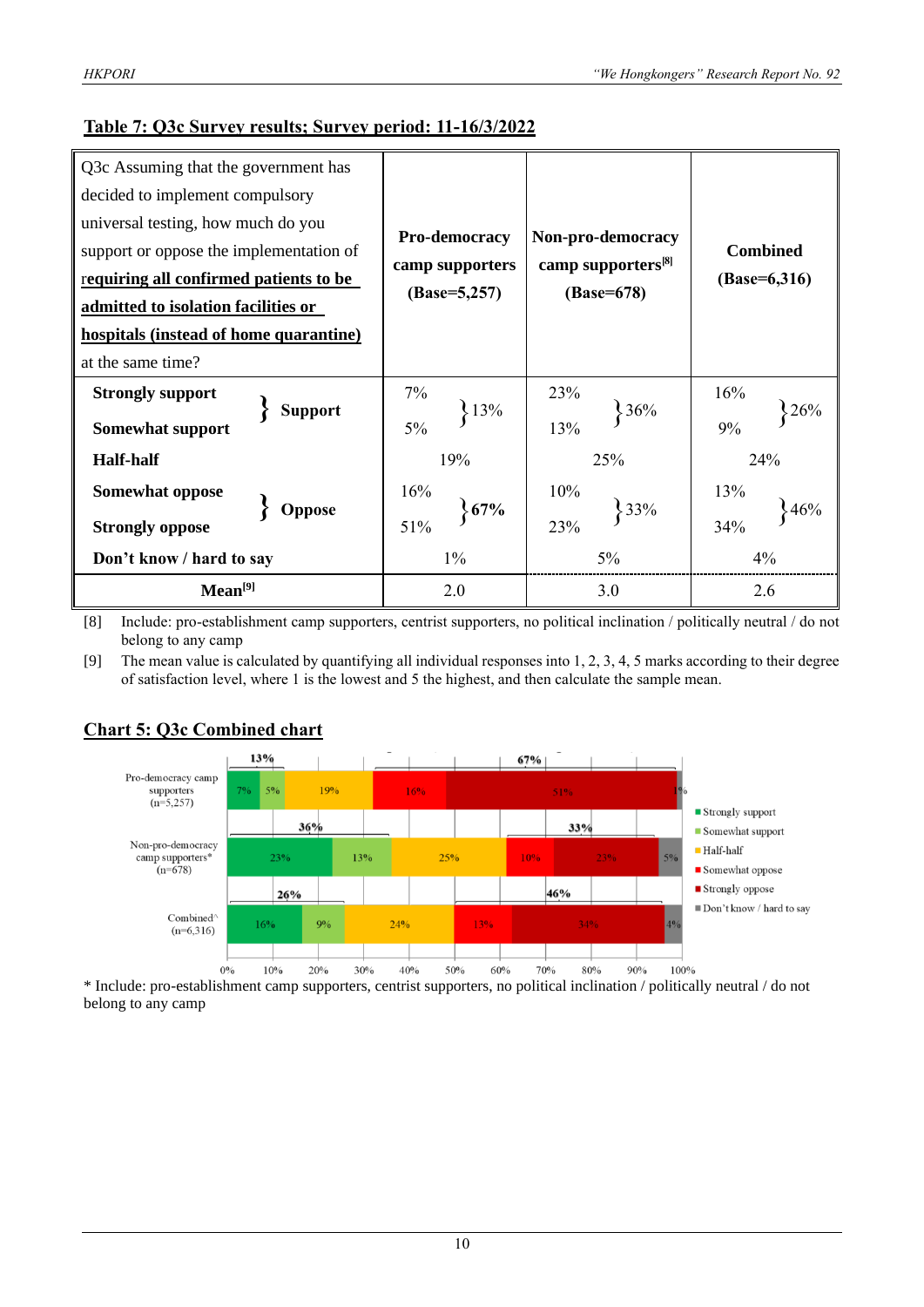#### **Table 7: Q3c Survey results; Survey period: 11-16/3/2022**

| Q3c Assuming that the government has      |                        |                                |                                   |  |  |
|-------------------------------------------|------------------------|--------------------------------|-----------------------------------|--|--|
| decided to implement compulsory           |                        |                                |                                   |  |  |
| universal testing, how much do you        |                        |                                | <b>Combined</b><br>$(Base=6,316)$ |  |  |
| support or oppose the implementation of   | Pro-democracy          | Non-pro-democracy              |                                   |  |  |
| requiring all confirmed patients to be    | camp supporters        | camp supporters <sup>[8]</sup> |                                   |  |  |
| admitted to isolation facilities or       | $(Base=5,257)$         | (Base=678)                     |                                   |  |  |
| hospitals (instead of home quarantine)    |                        |                                |                                   |  |  |
| at the same time?                         |                        |                                |                                   |  |  |
| <b>Strongly support</b>                   | 7%                     | 23%                            | 16%                               |  |  |
| <b>Support</b><br><b>Somewhat support</b> | $\frac{13\%}{ }$<br>5% | 36%<br>13%                     | 26%<br>9%                         |  |  |
| <b>Half-half</b>                          | 19%                    | 25%                            | 24%                               |  |  |
| Somewhat oppose                           | 16%                    | 10%                            | 13%                               |  |  |
| Oppose<br><b>Strongly oppose</b>          | 67%<br>51%             | 33%<br>23%                     | 46%<br>34%                        |  |  |
| Don't know / hard to say                  | $1\%$                  | $5\%$                          | 4%                                |  |  |
| Mean <sup>[9]</sup>                       | 2.0                    | 3.0                            | 2.6                               |  |  |

[8] Include: pro-establishment camp supporters, centrist supporters, no political inclination / politically neutral / do not belong to any camp

[9] The mean value is calculated by quantifying all individual responses into 1, 2, 3, 4, 5 marks according to their degree of satisfaction level, where 1 is the lowest and 5 the highest, and then calculate the sample mean.



#### **Chart 5: Q3c Combined chart**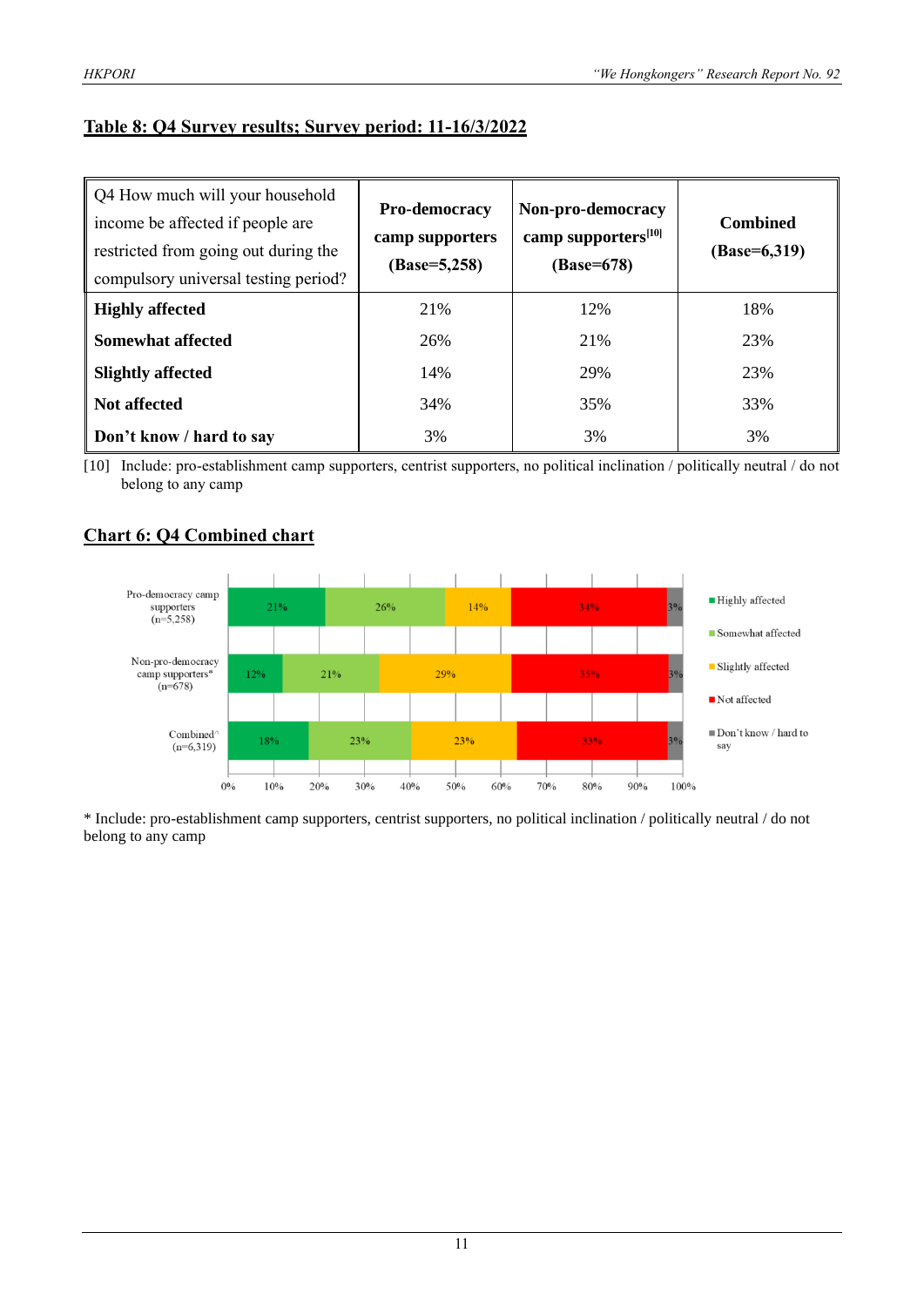#### **Table 8: Q4 Survey results; Survey period: 11-16/3/2022**

| Q4 How much will your household<br>income be affected if people are<br>restricted from going out during the<br>compulsory universal testing period? | Pro-democracy<br>camp supporters<br>$(Base=5,258)$ | Non-pro-democracy<br>camp supporters <sup>[10]</sup><br>(Base=678) | <b>Combined</b><br>$(Base=6,319)$ |
|-----------------------------------------------------------------------------------------------------------------------------------------------------|----------------------------------------------------|--------------------------------------------------------------------|-----------------------------------|
| <b>Highly affected</b>                                                                                                                              | 21%                                                | 12%                                                                | 18%                               |
| <b>Somewhat affected</b>                                                                                                                            | 26%                                                | 21%                                                                | 23%                               |
| <b>Slightly affected</b>                                                                                                                            | 14%                                                | 29%                                                                | 23%                               |
| Not affected                                                                                                                                        | 34%                                                | 35%                                                                | 33%                               |
| Don't know / hard to say                                                                                                                            | 3%                                                 | 3%                                                                 | 3%                                |

[10] Include: pro-establishment camp supporters, centrist supporters, no political inclination / politically neutral / do not belong to any camp

## **Chart 6: Q4 Combined chart**

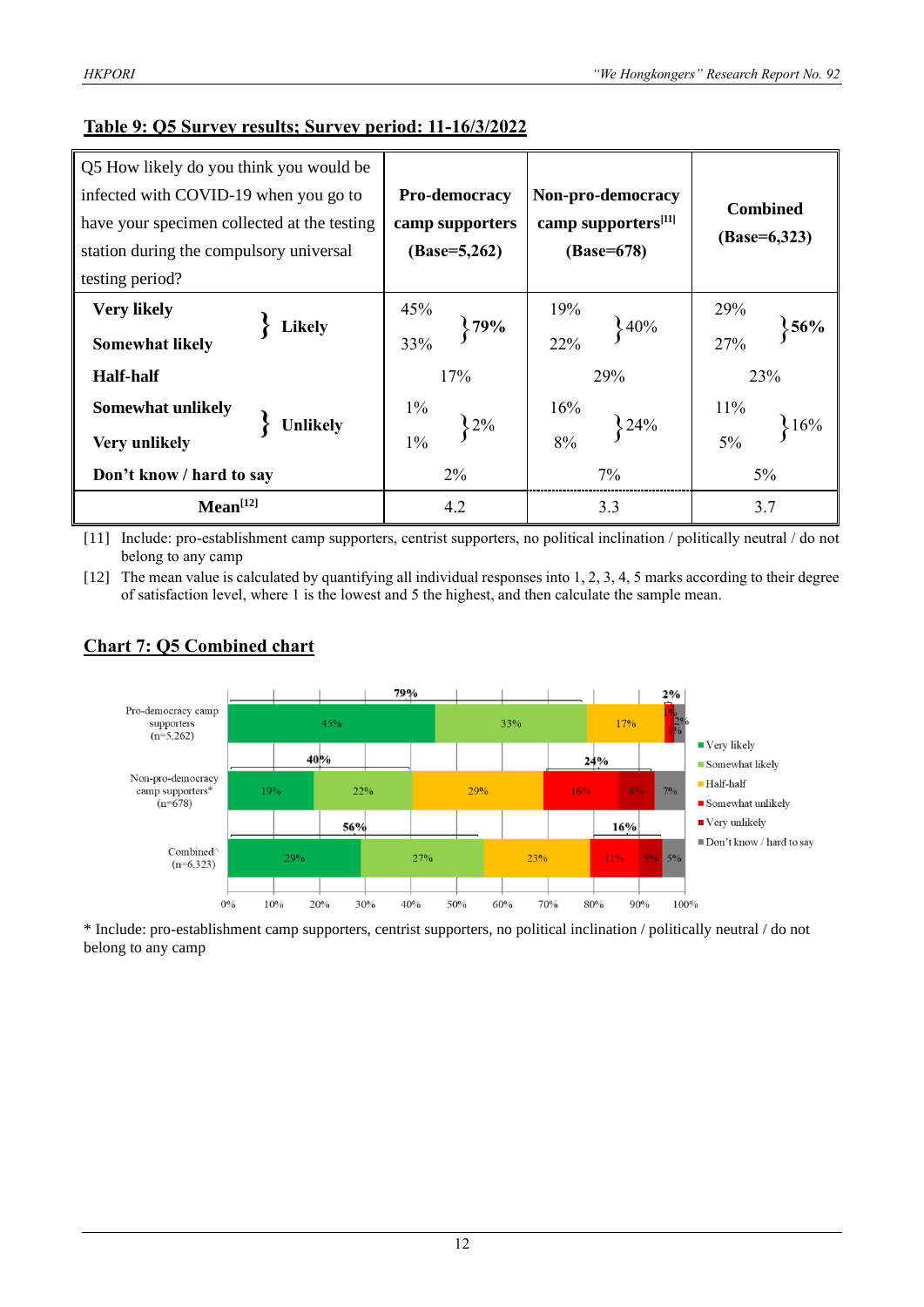#### **Table 9: Q5 Survey results; Survey period: 11-16/3/2022**

| Q5 How likely do you think you would be     |                 |                                 |                 |  |  |
|---------------------------------------------|-----------------|---------------------------------|-----------------|--|--|
| infected with COVID-19 when you go to       | Pro-democracy   | Non-pro-democracy               | <b>Combined</b> |  |  |
| have your specimen collected at the testing | camp supporters | camp supporters <sup>[11]</sup> |                 |  |  |
| station during the compulsory universal     | $(Base=5,262)$  | (Base=678)                      | $(Base=6,323)$  |  |  |
| testing period?                             |                 |                                 |                 |  |  |
| <b>Very likely</b><br><b>Likely</b>         | 45%<br>$,79\%$  | 19%<br>$\frac{1}{2}40\%$        | 29%<br>56%      |  |  |
| <b>Somewhat likely</b>                      | 33%             | 22%                             | 27%             |  |  |
| <b>Half-half</b>                            | 17%             | 29%                             | 23%             |  |  |
| Somewhat unlikely                           | $1\%$<br>.2%    | 16%                             | 11%             |  |  |
| <b>Unlikely</b><br>Very unlikely            | $1\%$           | 24%<br>8%                       | 16%<br>$5\%$    |  |  |
| Don't know / hard to say                    | 2%              | 7%                              | $5\%$           |  |  |
| Mean <sup>[12]</sup>                        | 4.2             | 3.3                             | 3.7             |  |  |

[11] Include: pro-establishment camp supporters, centrist supporters, no political inclination / politically neutral / do not belong to any camp

[12] The mean value is calculated by quantifying all individual responses into 1, 2, 3, 4, 5 marks according to their degree of satisfaction level, where 1 is the lowest and 5 the highest, and then calculate the sample mean.



#### **Chart 7: Q5 Combined chart**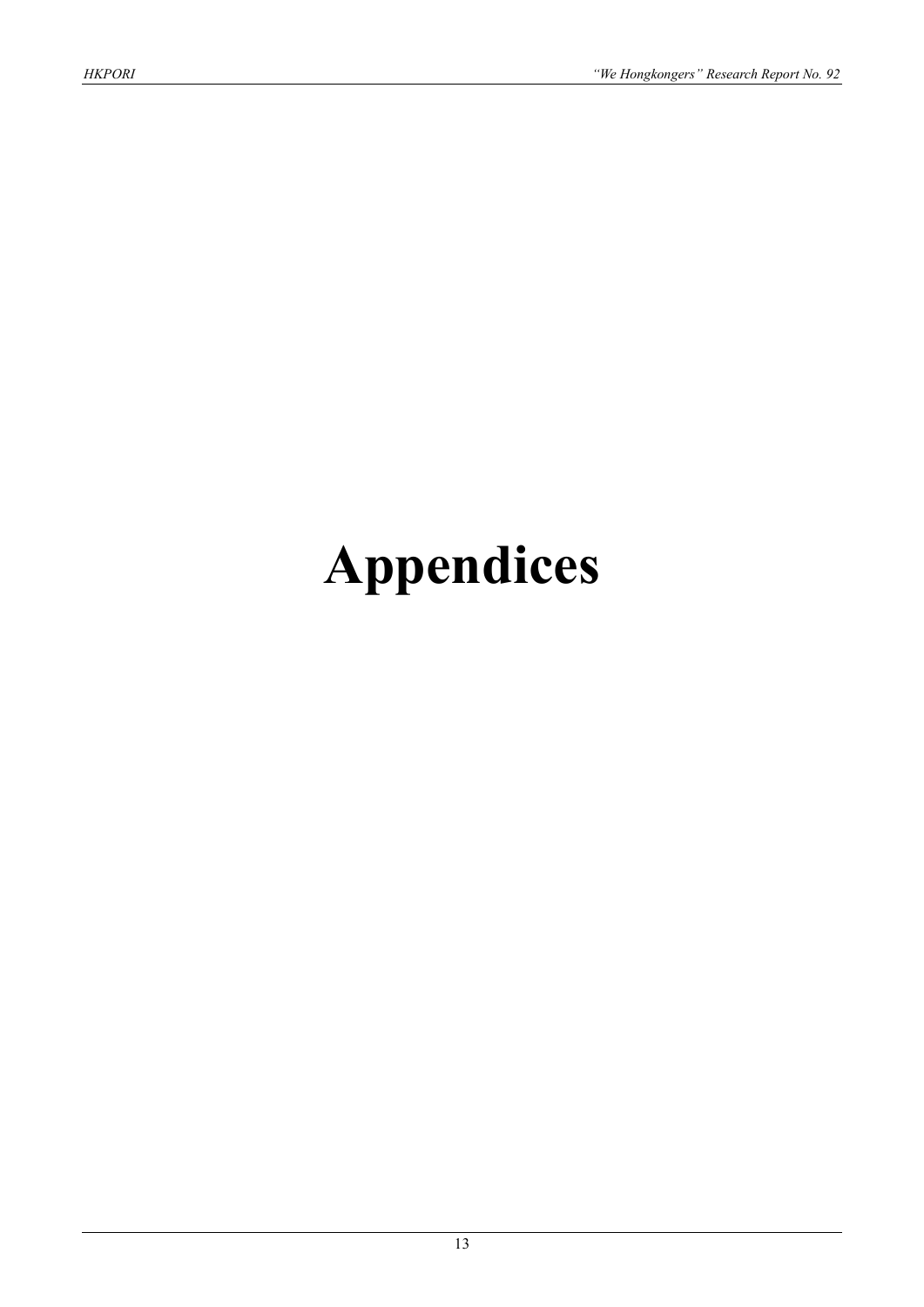# **Appendices**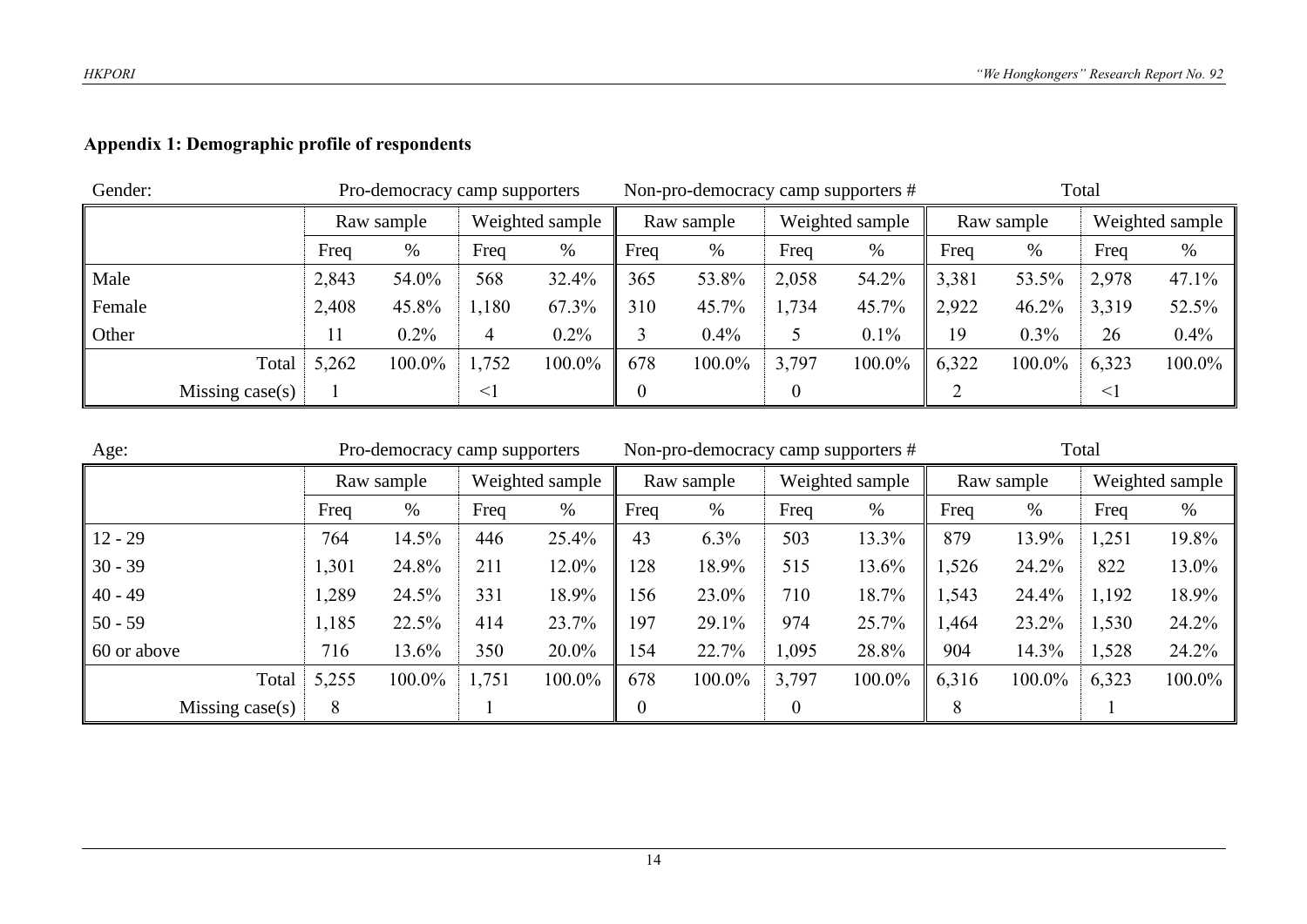# **Appendix 1: Demographic profile of respondents**

| Gender: |                   | Pro-democracy camp supporters |         |                 | Non-pro-democracy camp supporters # |      |                               |       | Total      |       |                 |        |        |
|---------|-------------------|-------------------------------|---------|-----------------|-------------------------------------|------|-------------------------------|-------|------------|-------|-----------------|--------|--------|
|         |                   | Raw sample                    |         | Weighted sample |                                     |      | Weighted sample<br>Raw sample |       | Raw sample |       | Weighted sample |        |        |
|         |                   | Freq                          | $\%$    | Freq            | $\%$                                | Freq | %                             | Freq  | %          | Freq  | %               | Freq   | %      |
| Male    |                   | 2,843                         | 54.0%   | 568             | 32.4%                               | 365  | 53.8%                         | 2,058 | 54.2%      | 3,381 | 53.5%           | 2,978  | 47.1%  |
| Female  |                   | 2,408                         | 45.8%   | 1,180           | 67.3%                               | 310  | 45.7%                         | 1,734 | 45.7%      | 2,922 | 46.2%           | 3,319  | 52.5%  |
| Other   |                   | 11                            | $0.2\%$ | 4               | $0.2\%$                             |      | 0.4%                          |       | 0.1%       | 19    | $0.3\%$         | 26     | 0.4%   |
|         | Total             | 5,262                         | 100.0%  | 1,752           | 100.0%                              | 678  | 100.0%                        | 3,797 | 100.0%     | 6,322 | 100.0%          | 6,323  | 100.0% |
|         | Missing $case(s)$ |                               |         |                 |                                     |      |                               |       |            |       |                 | $\leq$ |        |

| Age:            |       | Pro-democracy camp supporters |       |                 |                | Non-pro-democracy camp supporters # |                 |        |            | Total  |                 |        |  |
|-----------------|-------|-------------------------------|-------|-----------------|----------------|-------------------------------------|-----------------|--------|------------|--------|-----------------|--------|--|
|                 |       | Raw sample                    |       | Weighted sample | Raw sample     |                                     | Weighted sample |        | Raw sample |        | Weighted sample |        |  |
|                 | Freq  | %                             | Freq  | $\%$            | Freq           | %                                   | Freq            | %      | Freq       | %      | Freq            | %      |  |
| $12 - 29$       | 764   | 14.5%                         | 446   | 25.4%           | 43             | 6.3%                                | 503             | 13.3%  | 879        | 13.9%  | 1,251           | 19.8%  |  |
| $30 - 39$       | 1,301 | 24.8%                         | 211   | 12.0%           | 128            | 18.9%                               | 515             | 13.6%  | 1,526      | 24.2%  | 822             | 13.0%  |  |
| $40 - 49$       | 1,289 | 24.5%                         | 331   | 18.9%           | 156            | 23.0%                               | 710             | 18.7%  | 1,543      | 24.4%  | 1,192           | 18.9%  |  |
| $50 - 59$       | 1,185 | 22.5%                         | 414   | 23.7%           | 197            | 29.1%                               | 974             | 25.7%  | 1,464      | 23.2%  | 1,530           | 24.2%  |  |
| 60 or above     | 716   | 13.6%                         | 350   | 20.0%           | 154            | 22.7%                               | 1,095           | 28.8%  | 904        | 14.3%  | 1,528           | 24.2%  |  |
| Total           | 5,255 | 100.0%                        | 1,751 | 100.0%          | 678            | 100.0%                              | 3,797           | 100.0% | 6,316      | 100.0% | 6,323           | 100.0% |  |
| Missing case(s) | 8     |                               |       |                 | $\overline{0}$ |                                     |                 |        | 8          |        |                 |        |  |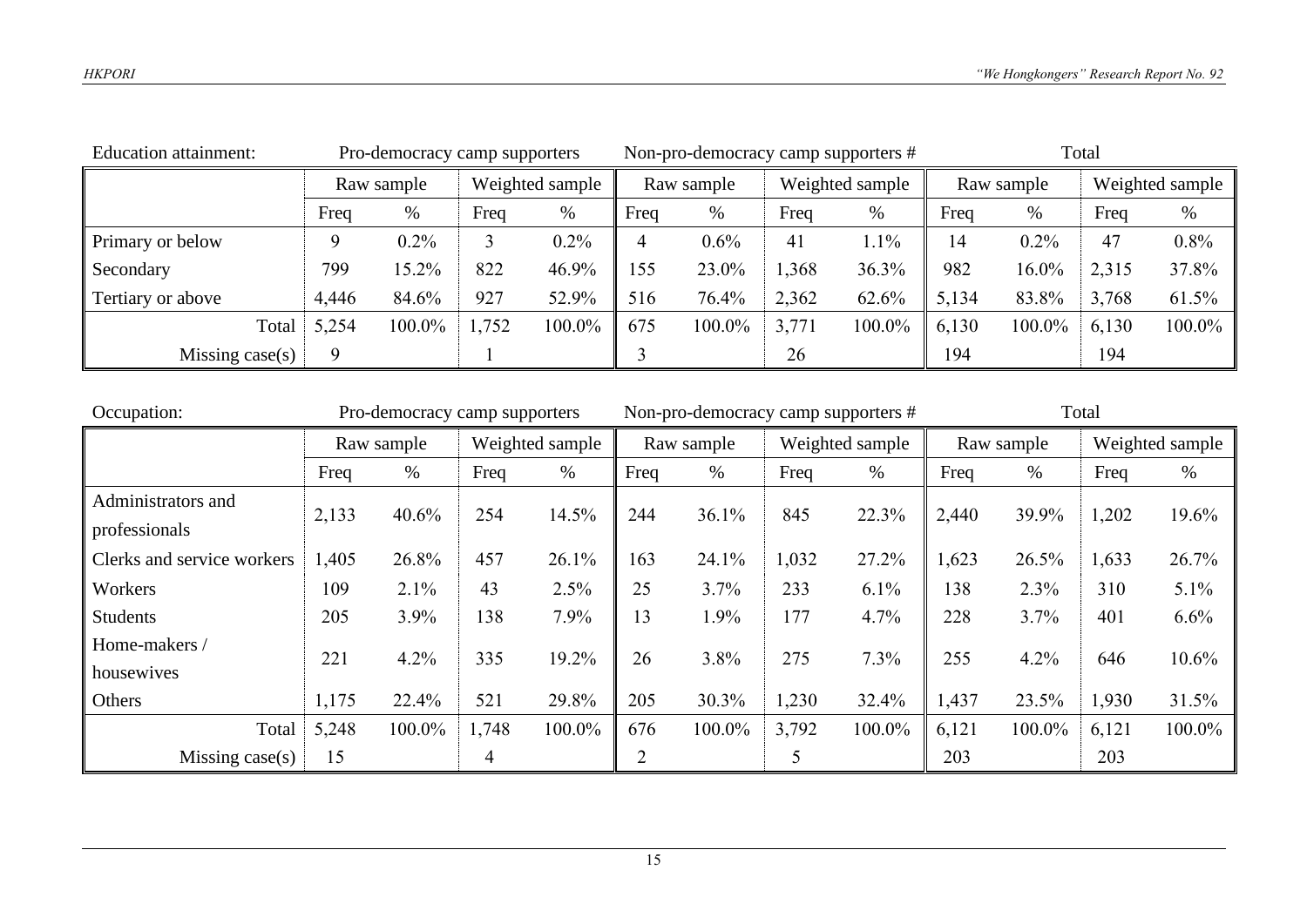| <b>Education attainment:</b> | Pro-democracy camp supporters |         |                 |        | Non-pro-democracy camp supporters # |        |                 |        | Total      |        |                 |        |
|------------------------------|-------------------------------|---------|-----------------|--------|-------------------------------------|--------|-----------------|--------|------------|--------|-----------------|--------|
|                              | Raw sample                    |         | Weighted sample |        | Raw sample                          |        | Weighted sample |        | Raw sample |        | Weighted sample |        |
|                              | Freq                          | %       | Freq            | %      | Freq                                | %      | Freq            | %      | Freq       | $\%$   | Freq            | %      |
| Primary or below             | 9                             | $0.2\%$ |                 | 0.2%   | 4                                   | 0.6%   | 41              | 1.1%   | 14         | 0.2%   | 47              | 0.8%   |
| Secondary                    | 799                           | 15.2%   | 822             | 46.9%  | 155                                 | 23.0%  | 1,368           | 36.3%  | 982        | 16.0%  | 2,315           | 37.8%  |
| Tertiary or above            | 4,446                         | 84.6%   | 927             | 52.9%  | 516                                 | 76.4%  | 2,362           | 62.6%  | 5,134      | 83.8%  | 3,768           | 61.5%  |
| Total                        | 5,254                         | 100.0%  | 1,752           | 100.0% | 675                                 | 100.0% | 3,771           | 100.0% | 6,130      | 100.0% | 6,130           | 100.0% |
| Missing $case(s)$            | 9                             |         |                 |        |                                     |        | 26              |        | 194        |        | 194             |        |

| Occupation:                | Pro-democracy camp supporters |            |       |                 | Non-pro-democracy camp supporters # |        |                 |        | Total |            |       |                 |
|----------------------------|-------------------------------|------------|-------|-----------------|-------------------------------------|--------|-----------------|--------|-------|------------|-------|-----------------|
|                            |                               | Raw sample |       | Weighted sample | Raw sample                          |        | Weighted sample |        |       | Raw sample |       | Weighted sample |
|                            | Freq                          | $\%$       | Freq  | $\%$            | Freq                                | %      | Freq            | $\%$   | Freq  | %          | Freq  | $\%$            |
| Administrators and         | 2,133                         | 40.6%      | 254   | 14.5%           | 244                                 | 36.1%  | 845             | 22.3%  | 2,440 | 39.9%      | 1,202 | 19.6%           |
| professionals              |                               |            |       |                 |                                     |        |                 |        |       |            |       |                 |
| Clerks and service workers | 1,405                         | 26.8%      | 457   | 26.1%           | 163                                 | 24.1%  | 1,032           | 27.2%  | 1,623 | 26.5%      | 1,633 | 26.7%           |
| Workers                    | 109                           | 2.1%       | 43    | 2.5%            | 25                                  | 3.7%   | 233             | 6.1%   | 138   | 2.3%       | 310   | 5.1%            |
| <b>Students</b>            | 205                           | 3.9%       | 138   | 7.9%            | 13                                  | 1.9%   | 177             | 4.7%   | 228   | 3.7%       | 401   | 6.6%            |
| Home-makers /              | 221                           | 4.2%       | 335   | 19.2%           | 26                                  | 3.8%   | 275             | 7.3%   | 255   | 4.2%       | 646   | 10.6%           |
| housewives                 |                               |            |       |                 |                                     |        |                 |        |       |            |       |                 |
| Others                     | 1,175                         | 22.4%      | 521   | 29.8%           | 205                                 | 30.3%  | 1,230           | 32.4%  | 1,437 | 23.5%      | 1,930 | 31.5%           |
| Total                      | 5,248                         | 100.0%     | 1,748 | 100.0%          | 676                                 | 100.0% | 3,792           | 100.0% | 6,121 | 100.0%     | 6,121 | 100.0%          |
| Missing $case(s)$          | 15                            |            | 4     |                 | C                                   |        |                 |        | 203   |            | 203   |                 |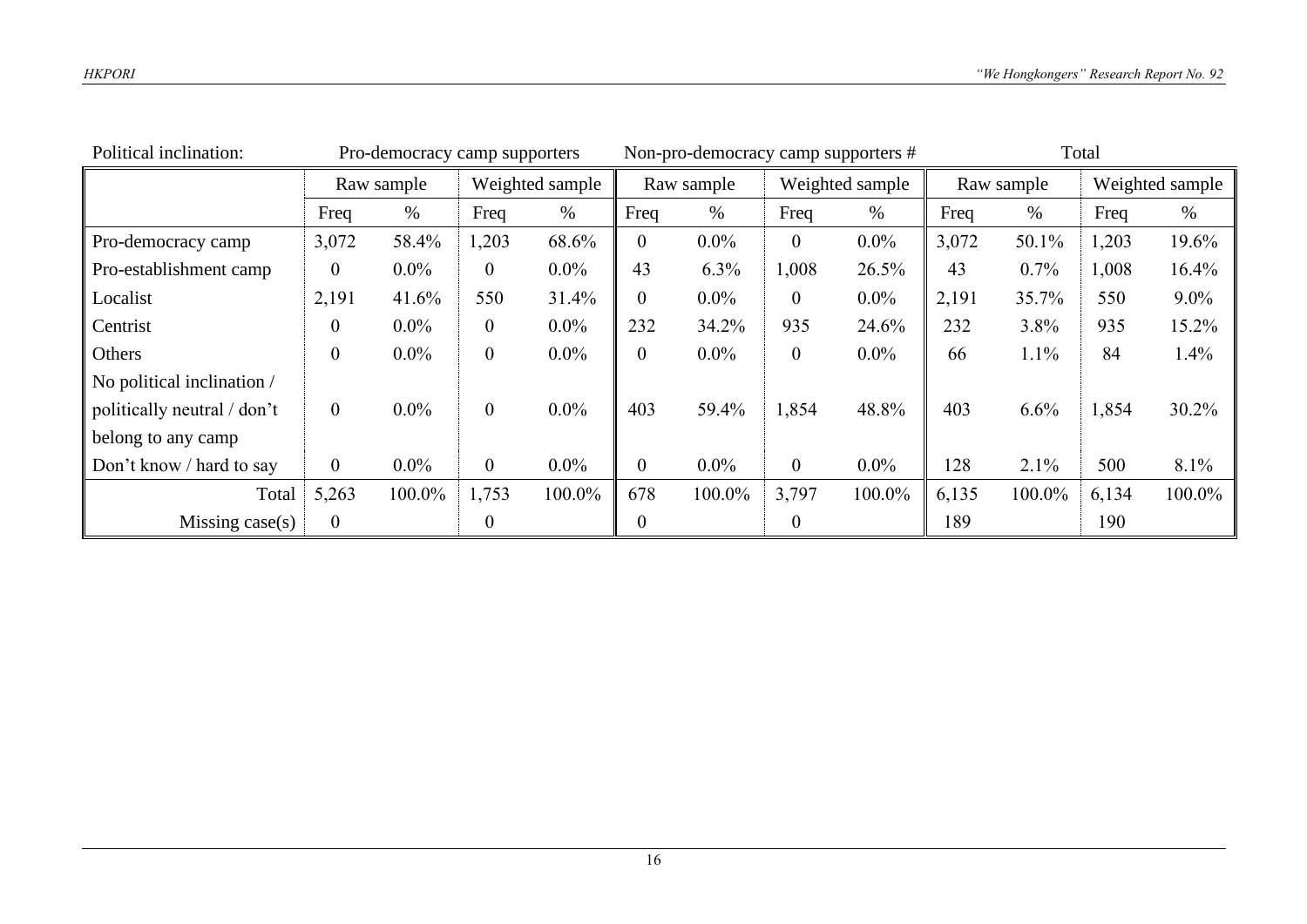| Political inclination:      | Pro-democracy camp supporters |                               |                |         | Non-pro-democracy camp supporters # |         |                  |         | Total |            |       |                 |
|-----------------------------|-------------------------------|-------------------------------|----------------|---------|-------------------------------------|---------|------------------|---------|-------|------------|-------|-----------------|
|                             |                               | Weighted sample<br>Raw sample |                |         | Raw sample                          |         | Weighted sample  |         |       | Raw sample |       | Weighted sample |
|                             | Freq                          | $\%$                          | Freq           | $\%$    | Freq                                | $\%$    | Freq             | $\%$    | Freq  | $\%$       | Freq  | $\%$            |
| Pro-democracy camp          | 3,072                         | 58.4%                         | 1,203          | 68.6%   | $\boldsymbol{0}$                    | $0.0\%$ | $\overline{0}$   | $0.0\%$ | 3,072 | 50.1%      | 1,203 | 19.6%           |
| Pro-establishment camp      | $\overline{0}$                | $0.0\%$                       | $\overline{0}$ | $0.0\%$ | 43                                  | 6.3%    | 1,008            | 26.5%   | 43    | $0.7\%$    | 1,008 | 16.4%           |
| Localist                    | 2,191                         | 41.6%                         | 550            | 31.4%   | $\boldsymbol{0}$                    | $0.0\%$ | $\boldsymbol{0}$ | $0.0\%$ | 2,191 | 35.7%      | 550   | $9.0\%$         |
| Centrist                    | $\mathbf{0}$                  | $0.0\%$                       | $\mathbf{0}$   | $0.0\%$ | 232                                 | 34.2%   | 935              | 24.6%   | 232   | 3.8%       | 935   | 15.2%           |
| Others                      | $\boldsymbol{0}$              | $0.0\%$                       | $\mathbf{0}$   | $0.0\%$ | $\overline{0}$                      | $0.0\%$ | $\boldsymbol{0}$ | $0.0\%$ | 66    | 1.1%       | 84    | 1.4%            |
| No political inclination /  |                               |                               |                |         |                                     |         |                  |         |       |            |       |                 |
| politically neutral / don't | $\overline{0}$                | $0.0\%$                       | $\mathbf{0}$   | $0.0\%$ | 403                                 | 59.4%   | 1,854            | 48.8%   | 403   | 6.6%       | 1,854 | 30.2%           |
| belong to any camp          |                               |                               |                |         |                                     |         |                  |         |       |            |       |                 |
| Don't know / hard to say    | $\overline{0}$                | $0.0\%$                       | $\mathbf{0}$   | $0.0\%$ | $\overline{0}$                      | $0.0\%$ | $\overline{0}$   | $0.0\%$ | 128   | 2.1%       | 500   | 8.1%            |
| Total                       | 5,263                         | 100.0%                        | 1,753          | 100.0%  | 678                                 | 100.0%  | 3,797            | 100.0%  | 6,135 | 100.0%     | 6,134 | 100.0%          |
| Missing $case(s)$           | $\mathbf{0}$                  |                               | $\overline{0}$ |         | 0                                   |         | 0                |         | 189   |            | 190   |                 |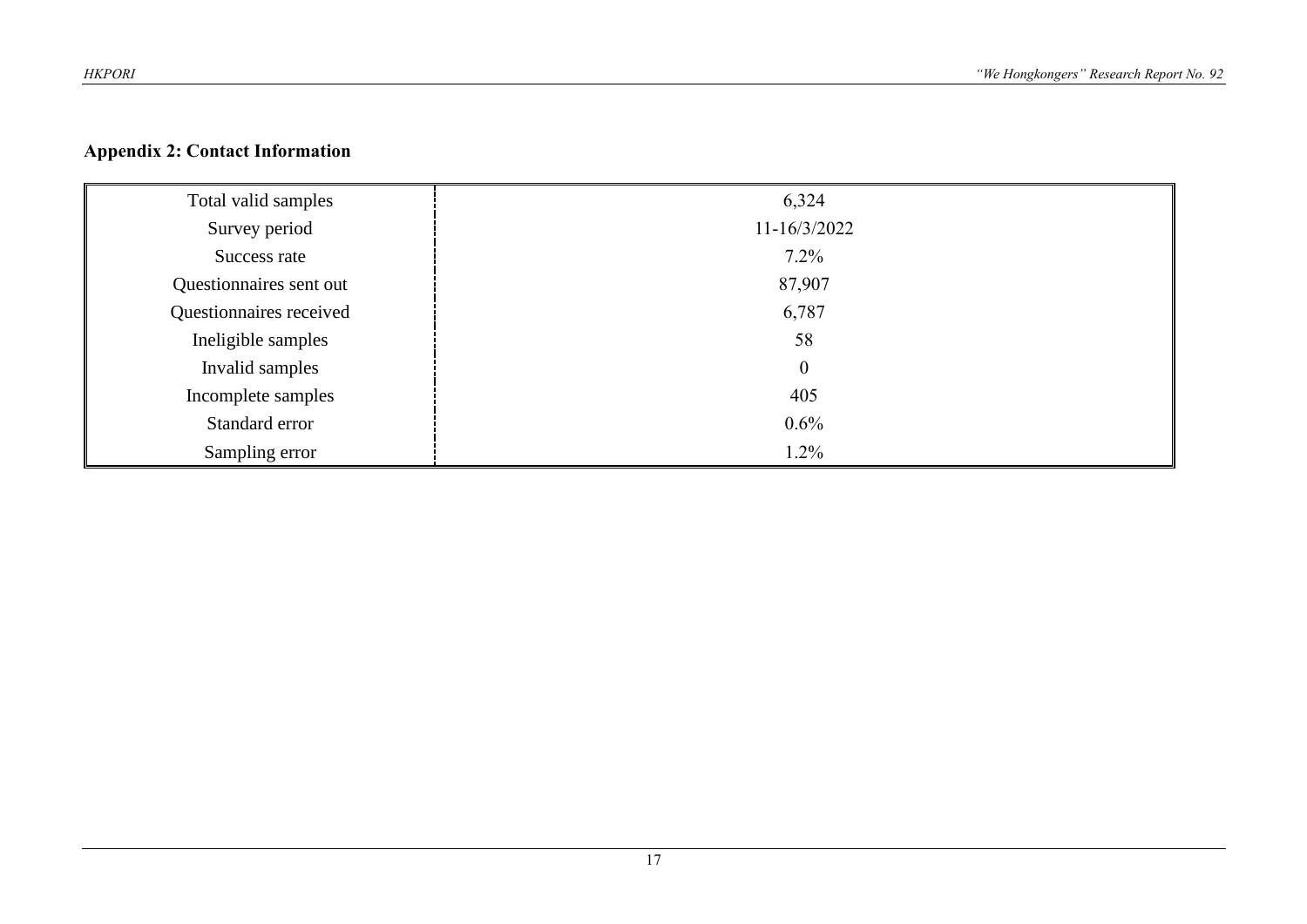# **Appendix 2: Contact Information**

| Total valid samples     | 6,324            |
|-------------------------|------------------|
| Survey period           | 11-16/3/2022     |
| Success rate            | $7.2\%$          |
| Questionnaires sent out | 87,907           |
| Questionnaires received | 6,787            |
| Ineligible samples      | 58               |
| Invalid samples         | $\boldsymbol{0}$ |
| Incomplete samples      | 405              |
| Standard error          | $0.6\%$          |
| Sampling error          | 1.2%             |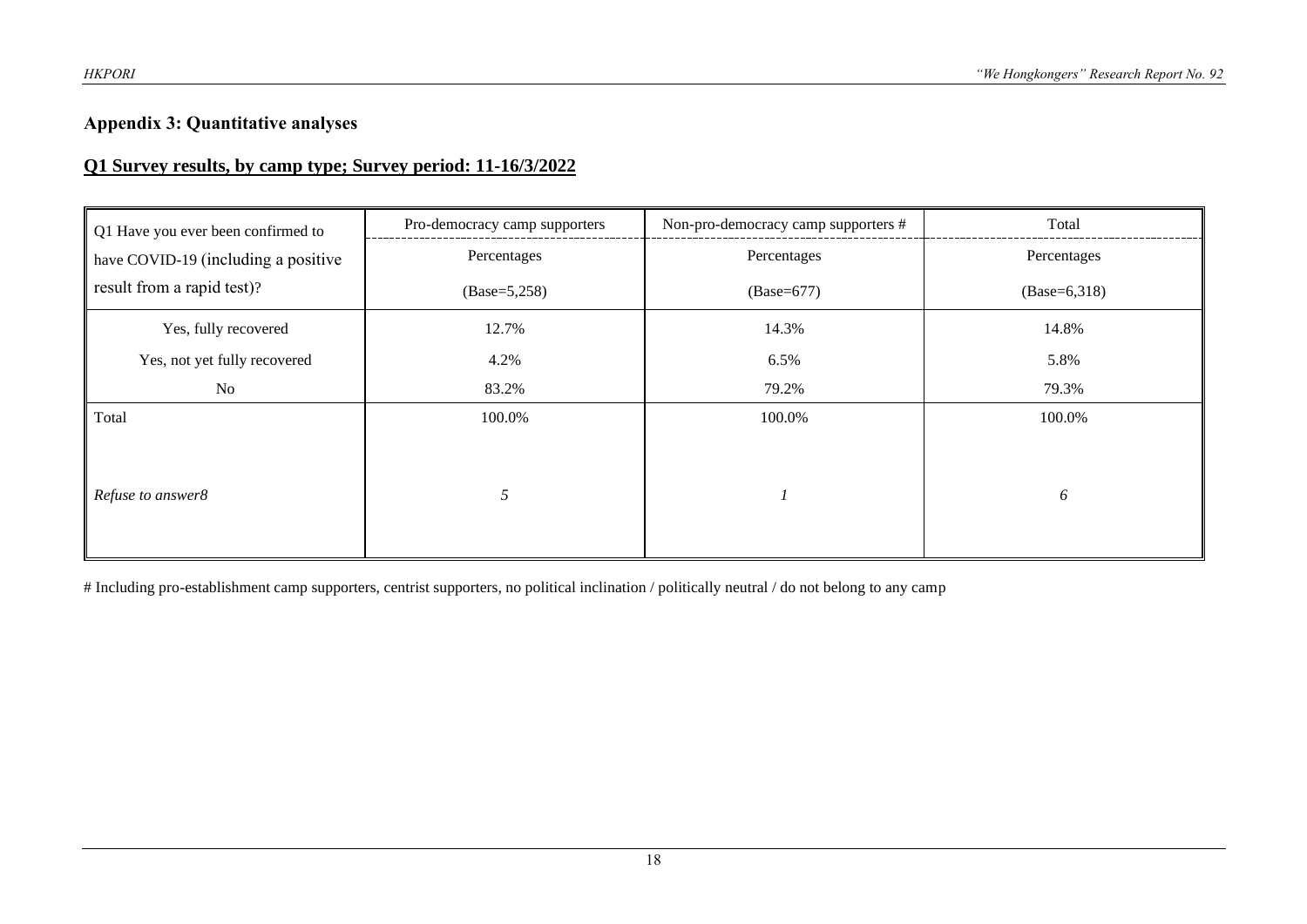#### **Appendix 3: Quantitative analyses**

#### **Q1 Survey results, by camp type; Survey period: 11-16/3/2022**

| Q1 Have you ever been confirmed to  | Pro-democracy camp supporters | Non-pro-democracy camp supporters # | Total          |
|-------------------------------------|-------------------------------|-------------------------------------|----------------|
| have COVID-19 (including a positive | Percentages                   | Percentages                         | Percentages    |
| result from a rapid test)?          | $(Base=5,258)$                | $(Base=677)$                        | $(Base=6,318)$ |
| Yes, fully recovered                | 12.7%                         | 14.3%                               | 14.8%          |
| Yes, not yet fully recovered        | 4.2%                          | 6.5%                                | 5.8%           |
| No                                  | 83.2%                         | 79.2%                               | 79.3%          |
| Total                               | 100.0%                        | 100.0%                              | 100.0%         |
| Refuse to answer8                   | 5                             |                                     | 6              |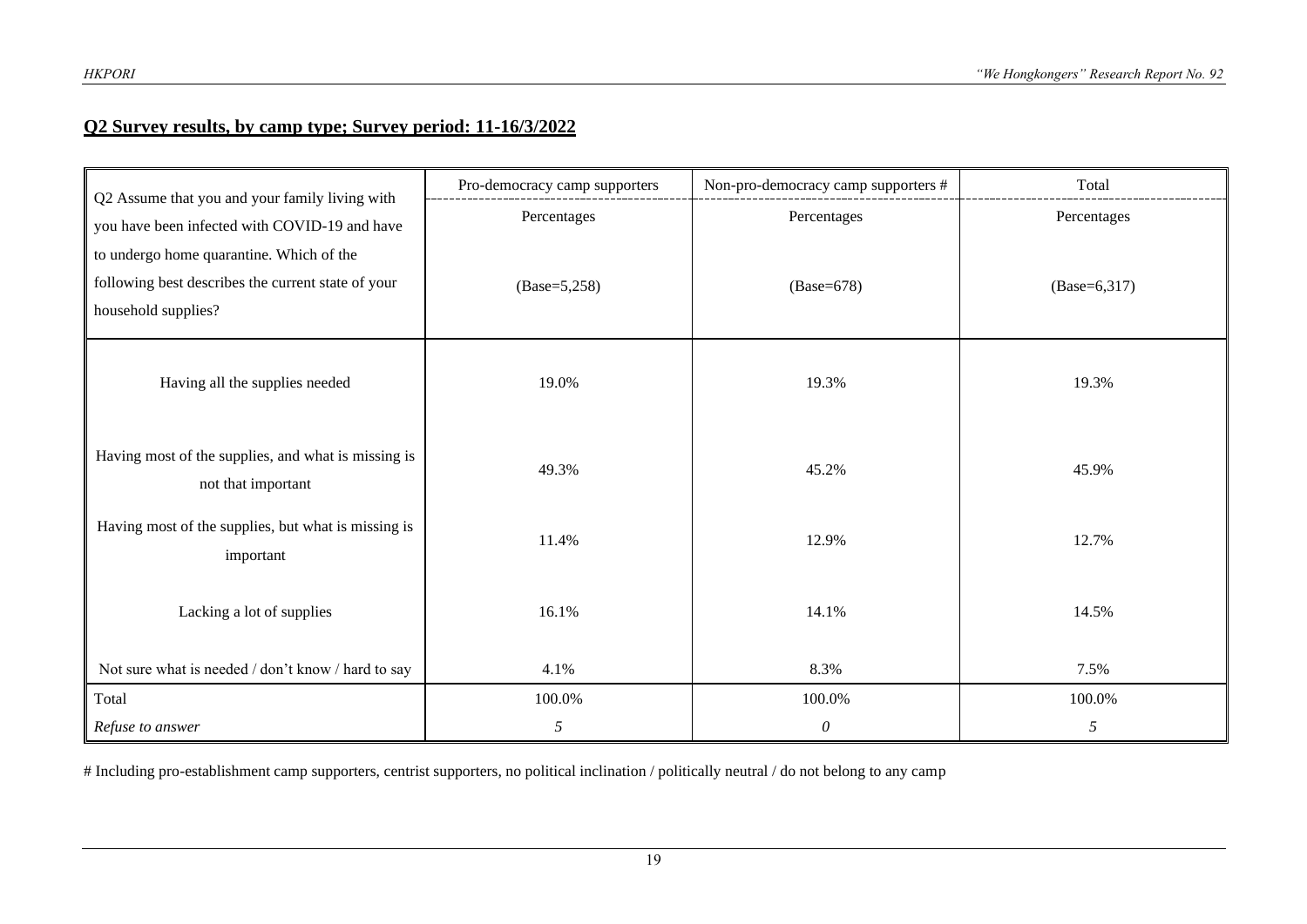#### **Q2 Survey results, by camp type; Survey period: 11-16/3/2022**

| Q2 Assume that you and your family living with                            | Pro-democracy camp supporters | Non-pro-democracy camp supporters # | Total          |
|---------------------------------------------------------------------------|-------------------------------|-------------------------------------|----------------|
| you have been infected with COVID-19 and have                             | Percentages                   | Percentages                         | Percentages    |
| to undergo home quarantine. Which of the                                  |                               |                                     |                |
| following best describes the current state of your                        | $(Base=5,258)$                | $(Base=678)$                        | $(Base=6,317)$ |
| household supplies?                                                       |                               |                                     |                |
| Having all the supplies needed                                            | 19.0%                         | 19.3%                               | 19.3%          |
| Having most of the supplies, and what is missing is<br>not that important | 49.3%                         | 45.2%                               | 45.9%          |
| Having most of the supplies, but what is missing is<br>important          | 11.4%                         | 12.9%                               | 12.7%          |
| Lacking a lot of supplies                                                 | 16.1%                         | 14.1%                               | 14.5%          |
| Not sure what is needed / don't know / hard to say                        | 4.1%                          | 8.3%                                | 7.5%           |
| Total                                                                     | 100.0%                        | 100.0%                              | 100.0%         |
| Refuse to answer                                                          | 5                             | $\mathcal O$                        | 5              |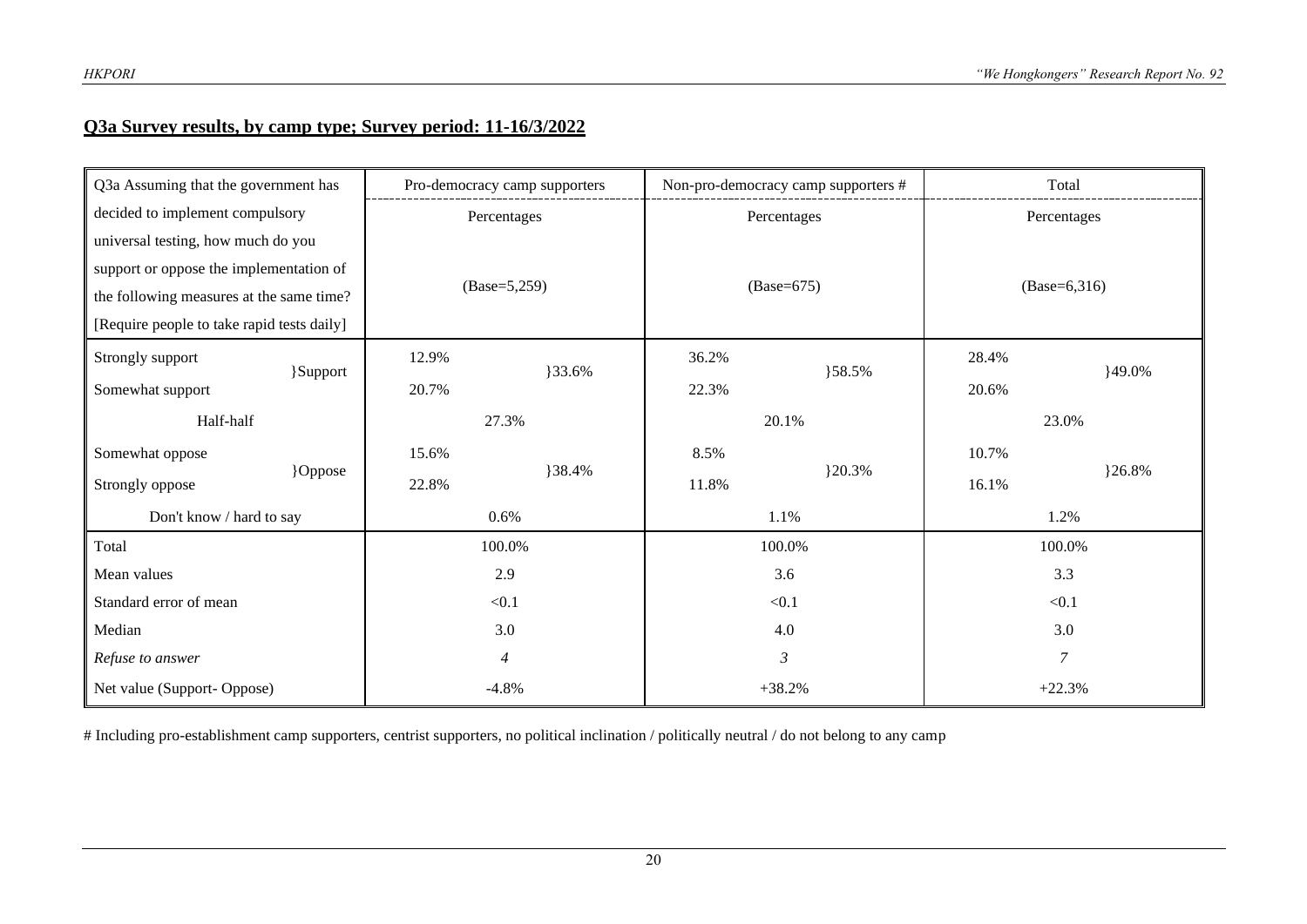#### **Q3a Survey results, by camp type; Survey period: 11-16/3/2022**

| Q3a Assuming that the government has       | Pro-democracy camp supporters |        |                 | Non-pro-democracy camp supporters # | Total          |                |  |
|--------------------------------------------|-------------------------------|--------|-----------------|-------------------------------------|----------------|----------------|--|
| decided to implement compulsory            | Percentages                   |        |                 | Percentages                         |                | Percentages    |  |
| universal testing, how much do you         |                               |        |                 |                                     |                |                |  |
| support or oppose the implementation of    |                               |        |                 |                                     |                |                |  |
| the following measures at the same time?   | $(Base=5,259)$                |        |                 | $(Base=675)$                        |                | $(Base=6,316)$ |  |
| [Require people to take rapid tests daily] |                               |        |                 |                                     |                |                |  |
| Strongly support<br>}Support               | 12.9%                         | }33.6% | 36.2%<br>}58.5% |                                     | 28.4%          | 149.0%         |  |
| Somewhat support                           | 20.7%                         |        | 22.3%           |                                     | 20.6%          |                |  |
| Half-half                                  | 27.3%                         |        |                 | 20.1%                               |                | 23.0%          |  |
| Somewhat oppose                            | 15.6%                         |        |                 |                                     | 10.7%          |                |  |
| }Oppose<br>Strongly oppose                 | 22.8%                         | }38.4% | 11.8%           | }20.3%                              | 16.1%          | 26.8%          |  |
| Don't know / hard to say                   | 0.6%                          |        |                 | 1.1%                                | 1.2%           |                |  |
| Total                                      | 100.0%                        |        |                 | 100.0%                              |                | 100.0%         |  |
| Mean values                                | 2.9                           |        |                 | 3.6                                 |                | 3.3            |  |
| Standard error of mean                     | < 0.1                         |        |                 | < 0.1                               |                | < 0.1          |  |
| Median                                     |                               | 3.0    |                 | 4.0                                 |                | 3.0            |  |
| Refuse to answer                           | $\overline{\mathcal{A}}$      |        |                 | $\mathfrak{Z}$                      | $\overline{7}$ |                |  |
| Net value (Support-Oppose)                 | $-4.8%$                       |        |                 | $+38.2%$                            |                | $+22.3%$       |  |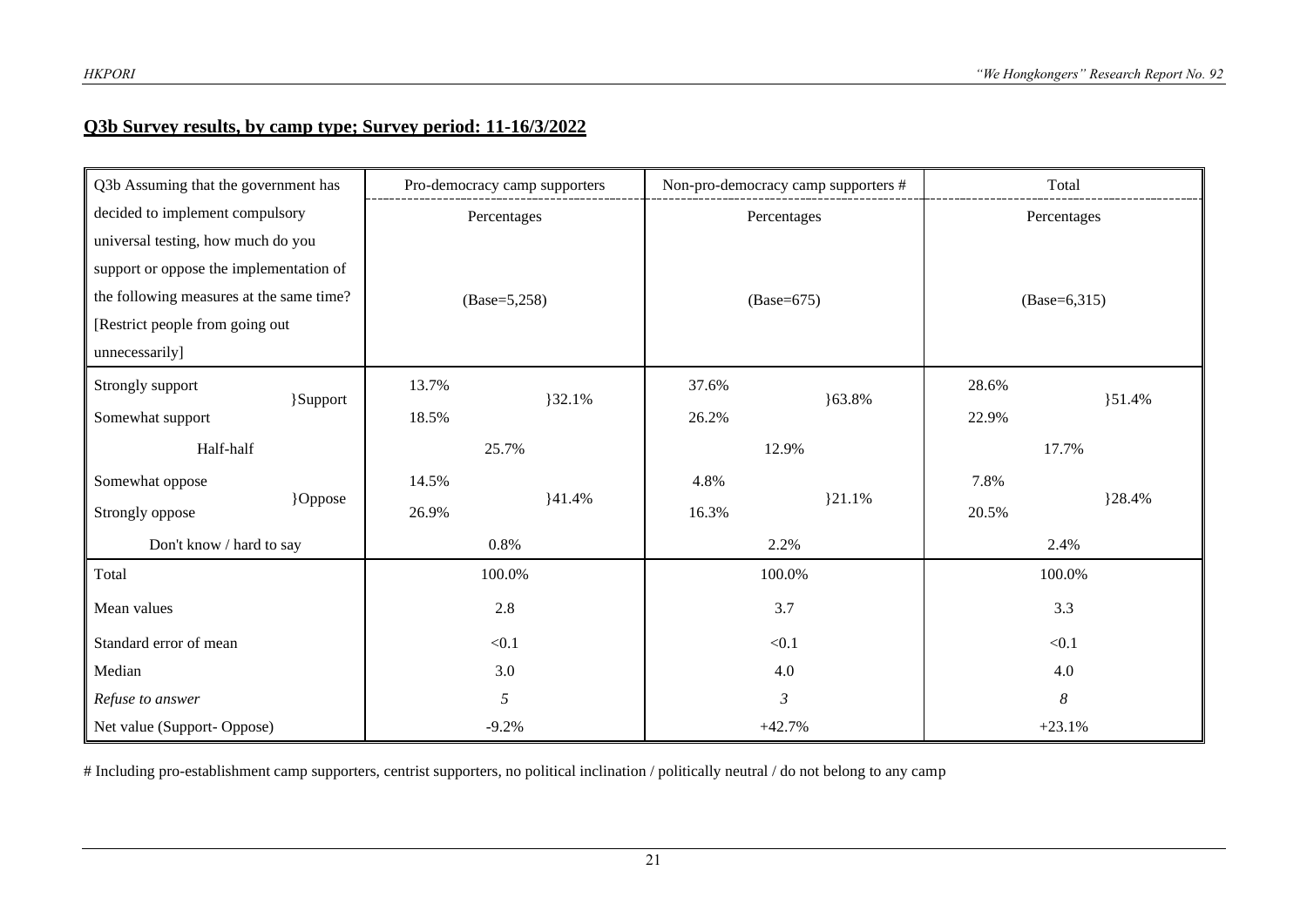#### **Q3b Survey results, by camp type; Survey period: 11-16/3/2022**

| Q3b Assuming that the government has     |       |       | Pro-democracy camp supporters |       | Non-pro-democracy camp supporters # |                | Total       |  |
|------------------------------------------|-------|-------|-------------------------------|-------|-------------------------------------|----------------|-------------|--|
| decided to implement compulsory          |       |       | Percentages                   |       | Percentages                         |                | Percentages |  |
| universal testing, how much do you       |       |       |                               |       |                                     |                |             |  |
| support or oppose the implementation of  |       |       |                               |       |                                     |                |             |  |
| the following measures at the same time? |       |       | $(Base=5,258)$                |       | $(Base=675)$                        | $(Base=6,315)$ |             |  |
| [Restrict people from going out          |       |       |                               |       |                                     |                |             |  |
| unnecessarily]                           |       |       |                               |       |                                     |                |             |  |
| Strongly support<br>}Support             |       | 13.7% | 32.1%                         | 37.6% | $63.8\%$                            | 28.6%          | $\{51.4\%$  |  |
| Somewhat support                         |       | 18.5% |                               | 26.2% |                                     | 22.9%          |             |  |
| Half-half                                |       |       | 25.7%                         |       | 12.9%                               |                | 17.7%       |  |
| Somewhat oppose                          |       | 14.5% |                               | 4.8%  |                                     | 7.8%           |             |  |
| }Oppose<br>Strongly oppose               |       | 26.9% | ${41.4%$                      | 16.3% | 321.1%                              | 20.5%          | }28.4%      |  |
| Don't know / hard to say                 |       |       | 0.8%                          |       | 2.2%                                | 2.4%           |             |  |
| Total                                    |       |       | 100.0%                        |       | 100.0%                              | 100.0%         |             |  |
| Mean values                              |       |       | 2.8                           |       | 3.7                                 |                | 3.3         |  |
| Standard error of mean                   | < 0.1 |       |                               | < 0.1 | < 0.1                               |                |             |  |
| Median                                   | 3.0   |       |                               | 4.0   | 4.0                                 |                |             |  |
| Refuse to answer                         | 5     |       |                               | 3     | $\boldsymbol{\delta}$               |                |             |  |
| Net value (Support-Oppose)               |       |       | $-9.2%$                       |       | $+42.7%$                            |                | $+23.1%$    |  |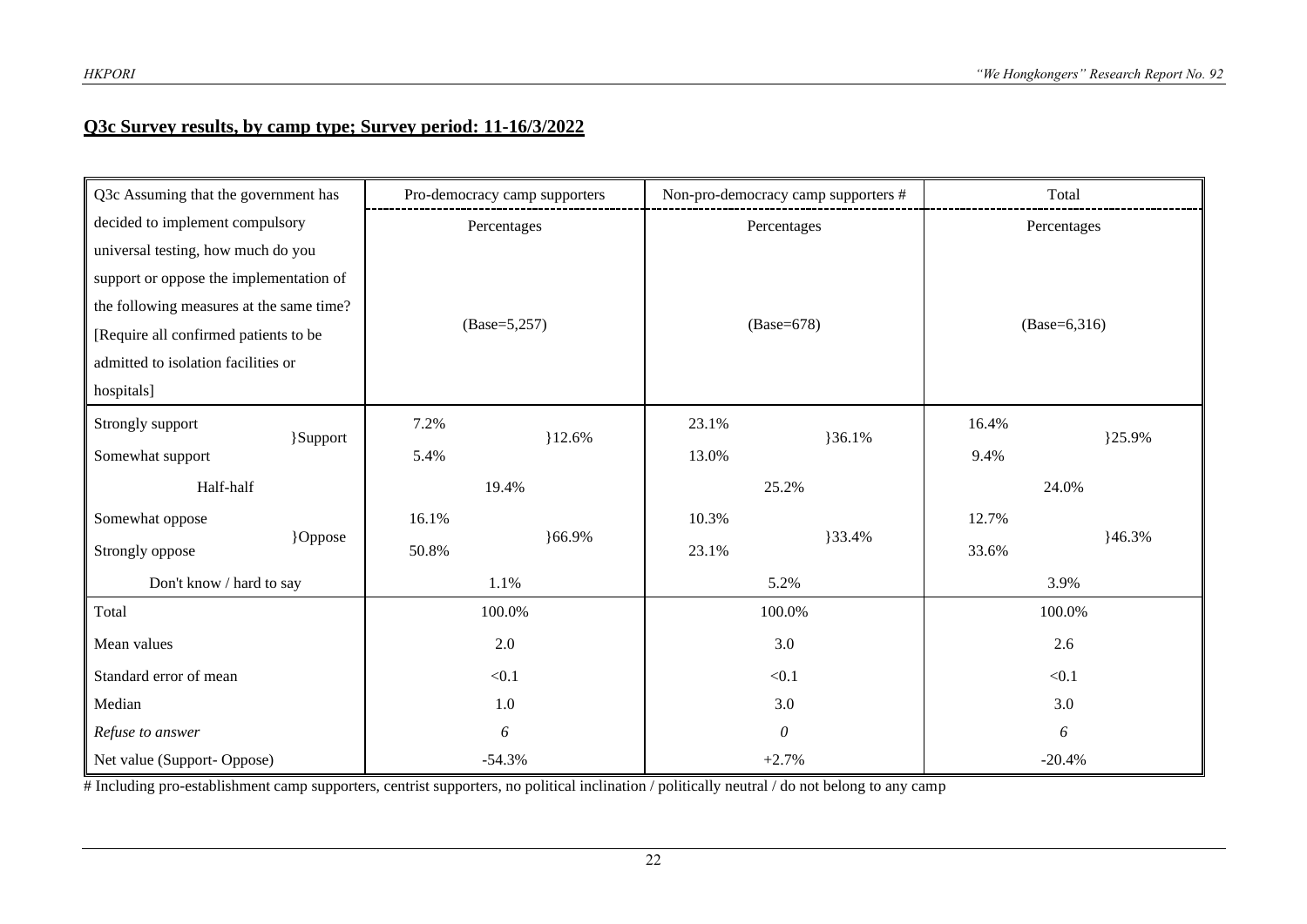#### **Q3c Survey results, by camp type; Survey period: 11-16/3/2022**

| Q3c Assuming that the government has     |          |       | Pro-democracy camp supporters |                 | Non-pro-democracy camp supporters # | Total          |        |  |
|------------------------------------------|----------|-------|-------------------------------|-----------------|-------------------------------------|----------------|--------|--|
| decided to implement compulsory          |          |       | Percentages                   |                 | Percentages                         | Percentages    |        |  |
| universal testing, how much do you       |          |       |                               |                 |                                     |                |        |  |
| support or oppose the implementation of  |          |       |                               |                 |                                     |                |        |  |
| the following measures at the same time? |          |       |                               |                 |                                     |                |        |  |
| [Require all confirmed patients to be    |          |       | $(Base=5,257)$                |                 | $(Base=678)$                        | $(Base=6,316)$ |        |  |
| admitted to isolation facilities or      |          |       |                               |                 |                                     |                |        |  |
| hospitals]                               |          |       |                               |                 |                                     |                |        |  |
| Strongly support                         | }Support | 7.2%  | 12.6%                         | 23.1%<br>}36.1% |                                     | 16.4%          | }25.9% |  |
| Somewhat support                         |          | 5.4%  |                               | 13.0%           |                                     | 9.4%           |        |  |
| Half-half                                |          |       | 19.4%                         |                 | 25.2%                               | 24.0%          |        |  |
| Somewhat oppose                          |          | 16.1% |                               | 10.3%           |                                     | 12.7%          |        |  |
| Strongly oppose                          | }Oppose  | 50.8% | $66.9\%$                      | 23.1%           | }33.4%                              | 33.6%          | }46.3% |  |
| Don't know / hard to say                 |          |       | 1.1%                          |                 | 5.2%                                | 3.9%           |        |  |
| Total                                    |          |       | 100.0%                        |                 | 100.0%                              | 100.0%         |        |  |
| Mean values                              |          |       | 2.0                           |                 | 3.0                                 |                | 2.6    |  |
| Standard error of mean                   |          | < 0.1 |                               |                 | < 0.1                               | < 0.1          |        |  |
| Median                                   |          | 1.0   |                               |                 | 3.0                                 | 3.0            |        |  |
| Refuse to answer                         |          |       | 6                             |                 | $\theta$                            | 6              |        |  |
| Net value (Support- Oppose)              |          |       | $-54.3%$                      |                 | $+2.7%$                             | $-20.4%$       |        |  |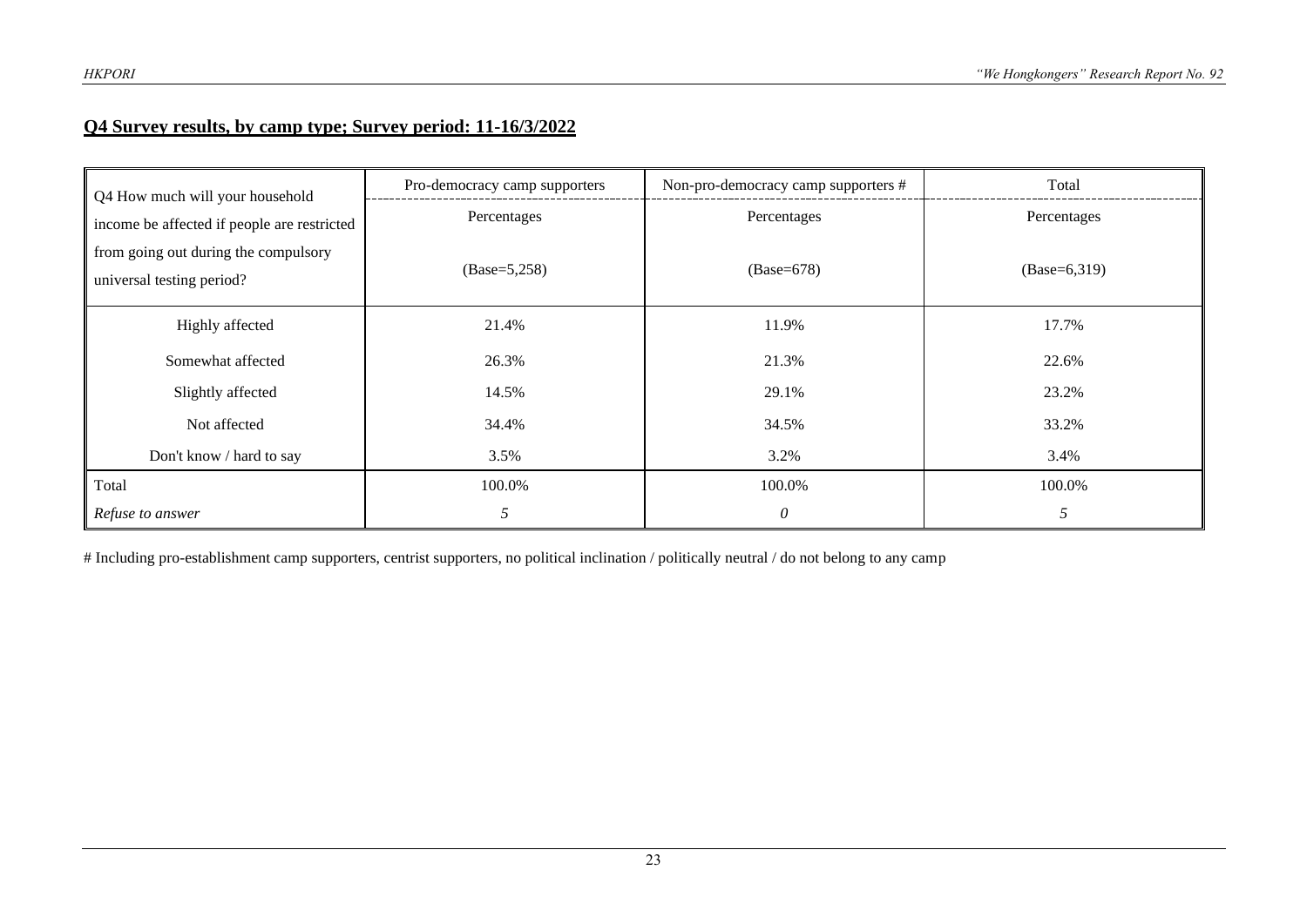#### **Q4 Survey results, by camp type; Survey period: 11-16/3/2022**

| Q4 How much will your household                                   | Pro-democracy camp supporters | Non-pro-democracy camp supporters # | Total          |
|-------------------------------------------------------------------|-------------------------------|-------------------------------------|----------------|
| income be affected if people are restricted                       | Percentages                   | Percentages                         | Percentages    |
| from going out during the compulsory<br>universal testing period? | $(Base=5,258)$                | $(Base=678)$                        | $(Base=6,319)$ |
| Highly affected                                                   | 21.4%                         | 11.9%                               | 17.7%          |
| Somewhat affected                                                 | 26.3%                         | 21.3%                               | 22.6%          |
| Slightly affected                                                 | 14.5%                         | 29.1%                               | 23.2%          |
| Not affected                                                      | 34.4%                         | 34.5%                               | 33.2%          |
| Don't know / hard to say                                          | 3.5%                          | 3.2%                                | 3.4%           |
| Total                                                             | 100.0%                        | 100.0%                              | 100.0%         |
| Refuse to answer                                                  | 5                             | $\theta$                            | 5              |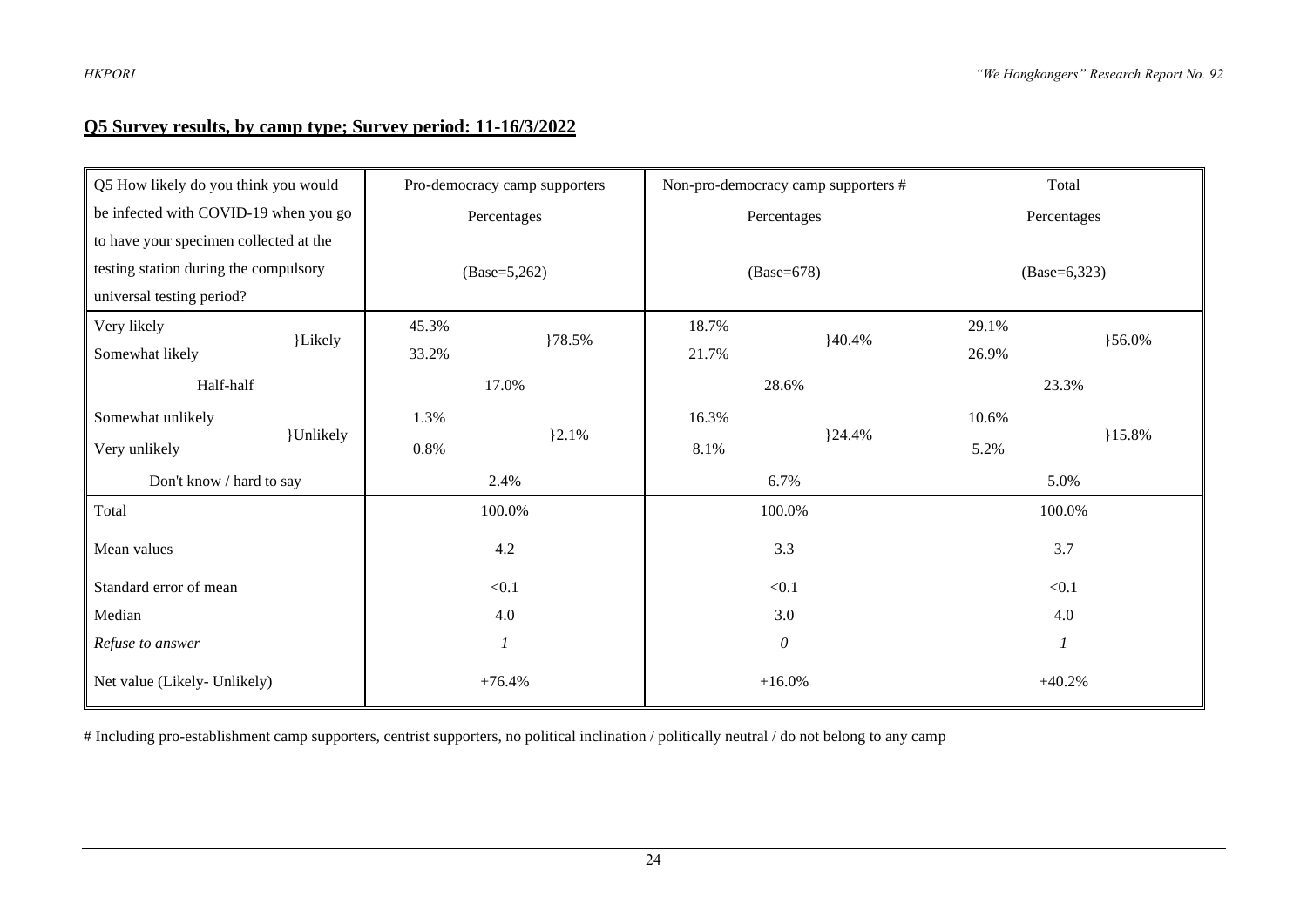#### **Q5 Survey results, by camp type; Survey period: 11-16/3/2022**

| Q5 How likely do you think you would   | Pro-democracy camp supporters |                |                | Non-pro-democracy camp supporters # |                | Total            |  |
|----------------------------------------|-------------------------------|----------------|----------------|-------------------------------------|----------------|------------------|--|
| be infected with COVID-19 when you go  | Percentages                   |                |                | Percentages                         |                | Percentages      |  |
| to have your specimen collected at the |                               |                |                |                                     |                |                  |  |
| testing station during the compulsory  |                               | $(Base=5,262)$ |                | $(Base=678)$                        | $(Base=6,323)$ |                  |  |
| universal testing period?              |                               |                |                |                                     |                |                  |  |
| Very likely<br>}Likely                 | 45.3%                         | }78.5%         | 18.7%<br>40.4% |                                     | 29.1%          | $\{56.0\%$       |  |
| Somewhat likely                        | 33.2%                         |                | 21.7%          |                                     | 26.9%          |                  |  |
| Half-half                              |                               | 17.0%          |                | 28.6%                               |                | 23.3%            |  |
| Somewhat unlikely                      | 1.3%                          |                |                |                                     | 10.6%          |                  |  |
| }Unlikely<br>Very unlikely             | 0.8%                          | $\{2.1\%$      | 8.1%           | ${24.4%$                            | 5.2%           | $15.8\%$         |  |
| Don't know / hard to say               |                               | 2.4%           |                | 6.7%                                |                | 5.0%             |  |
| Total                                  | 100.0%                        |                |                | 100.0%                              | 100.0%         |                  |  |
| Mean values                            | 4.2                           |                |                | 3.3                                 | 3.7            |                  |  |
| Standard error of mean                 | < 0.1                         |                |                | < 0.1                               |                | < 0.1            |  |
| Median                                 | 4.0                           |                | 3.0            |                                     |                | 4.0              |  |
| Refuse to answer                       |                               | 1              |                | $\theta$                            |                | $\boldsymbol{l}$ |  |
| Net value (Likely- Unlikely)           | $+76.4%$                      |                |                | $+16.0%$                            | $+40.2%$       |                  |  |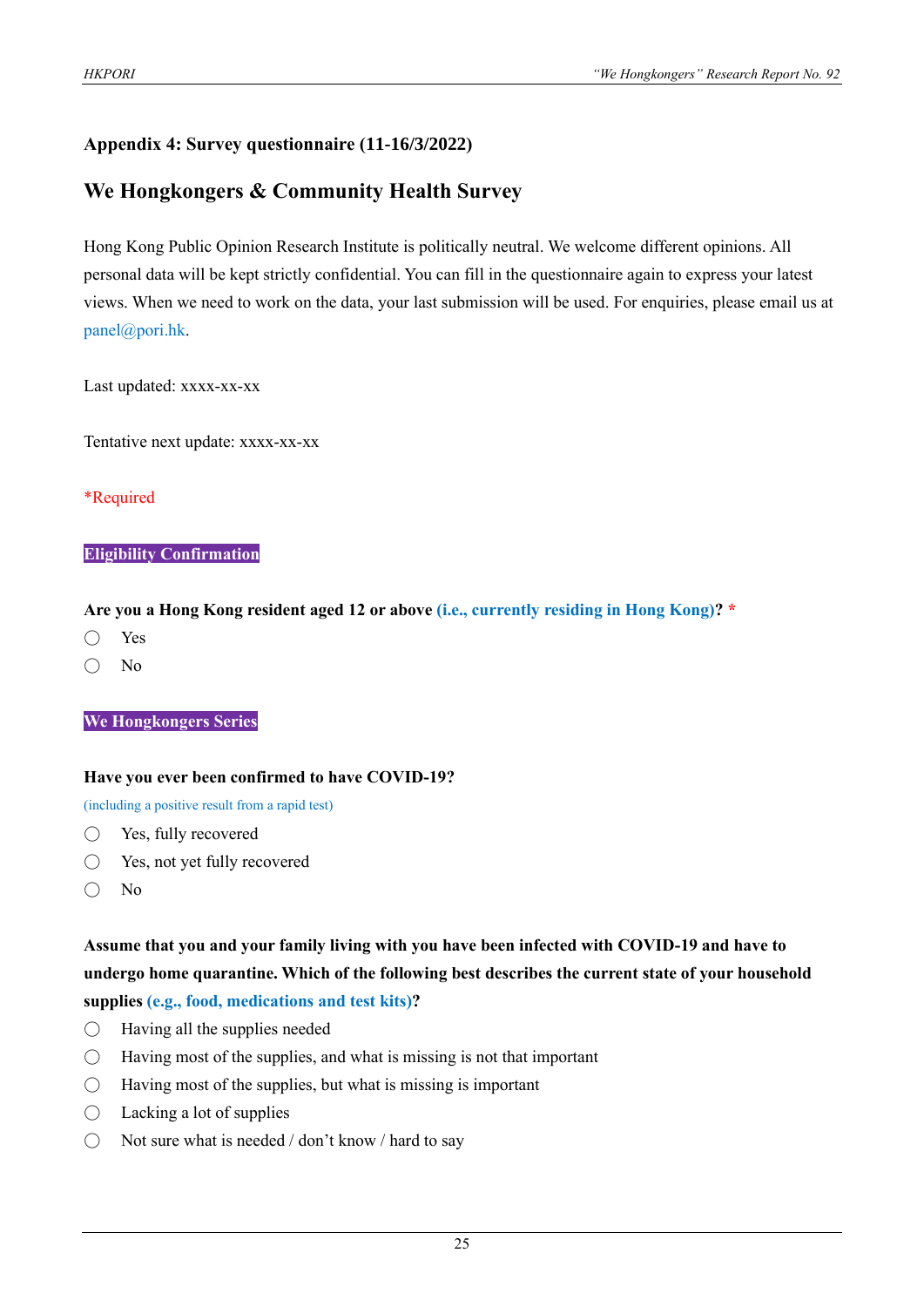#### **Appendix 4: Survey questionnaire (11-16/3/2022)**

# **We Hongkongers & Community Health Survey**

Hong Kong Public Opinion Research Institute is politically neutral. We welcome different opinions. All personal data will be kept strictly confidential. You can fill in the questionnaire again to express your latest views. When we need to work on the data, your last submission will be used. For enquiries, please email us at panel@pori.hk.

Last updated: xxxx-xx-xx

Tentative next update: xxxx-xx-xx

#### \*Required

#### **Eligibility Confirmation**

#### **Are you a Hong Kong resident aged 12 or above (i.e., currently residing in Hong Kong)? \***

- Yes
- No

#### **We Hongkongers Series**

#### **Have you ever been confirmed to have COVID-19?**

(including a positive result from a rapid test)

- Yes, fully recovered
- Yes, not yet fully recovered
- No

**Assume that you and your family living with you have been infected with COVID-19 and have to undergo home quarantine. Which of the following best describes the current state of your household supplies (e.g., food, medications and test kits)?**

- $\bigcirc$  Having all the supplies needed
- $\bigcirc$  Having most of the supplies, and what is missing is not that important
- $\bigcirc$  Having most of the supplies, but what is missing is important
- $\bigcirc$  Lacking a lot of supplies
- $\bigcirc$  Not sure what is needed / don't know / hard to say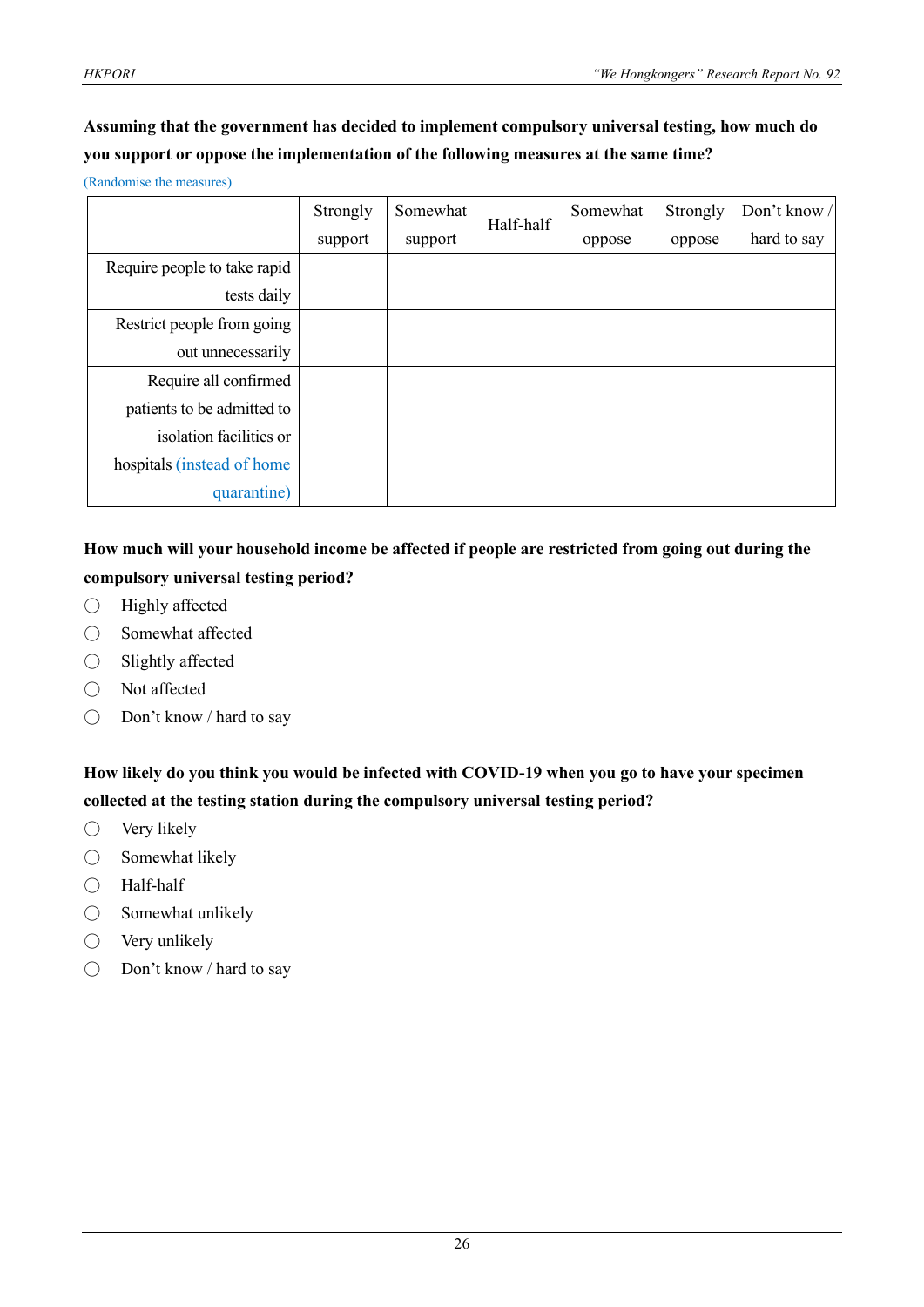# **Assuming that the government has decided to implement compulsory universal testing, how much do you support or oppose the implementation of the following measures at the same time?**

(Randomise the measures)

|                              | Strongly | Somewhat | Half-half | Somewhat | Strongly | Don't know / |
|------------------------------|----------|----------|-----------|----------|----------|--------------|
|                              | support  | support  |           | oppose   | oppose   | hard to say  |
| Require people to take rapid |          |          |           |          |          |              |
| tests daily                  |          |          |           |          |          |              |
| Restrict people from going   |          |          |           |          |          |              |
| out unnecessarily            |          |          |           |          |          |              |
| Require all confirmed        |          |          |           |          |          |              |
| patients to be admitted to   |          |          |           |          |          |              |
| isolation facilities or      |          |          |           |          |          |              |
| hospitals (instead of home   |          |          |           |          |          |              |
| quarantine)                  |          |          |           |          |          |              |

# **How much will your household income be affected if people are restricted from going out during the compulsory universal testing period?**

- Highly affected
- Somewhat affected
- Slightly affected
- Not affected
- Don't know / hard to say

**How likely do you think you would be infected with COVID-19 when you go to have your specimen collected at the testing station during the compulsory universal testing period?**

- $\bigcirc$  Very likely
- Somewhat likely
- Half-half
- Somewhat unlikely
- $\bigcirc$  Very unlikely
- Don't know / hard to say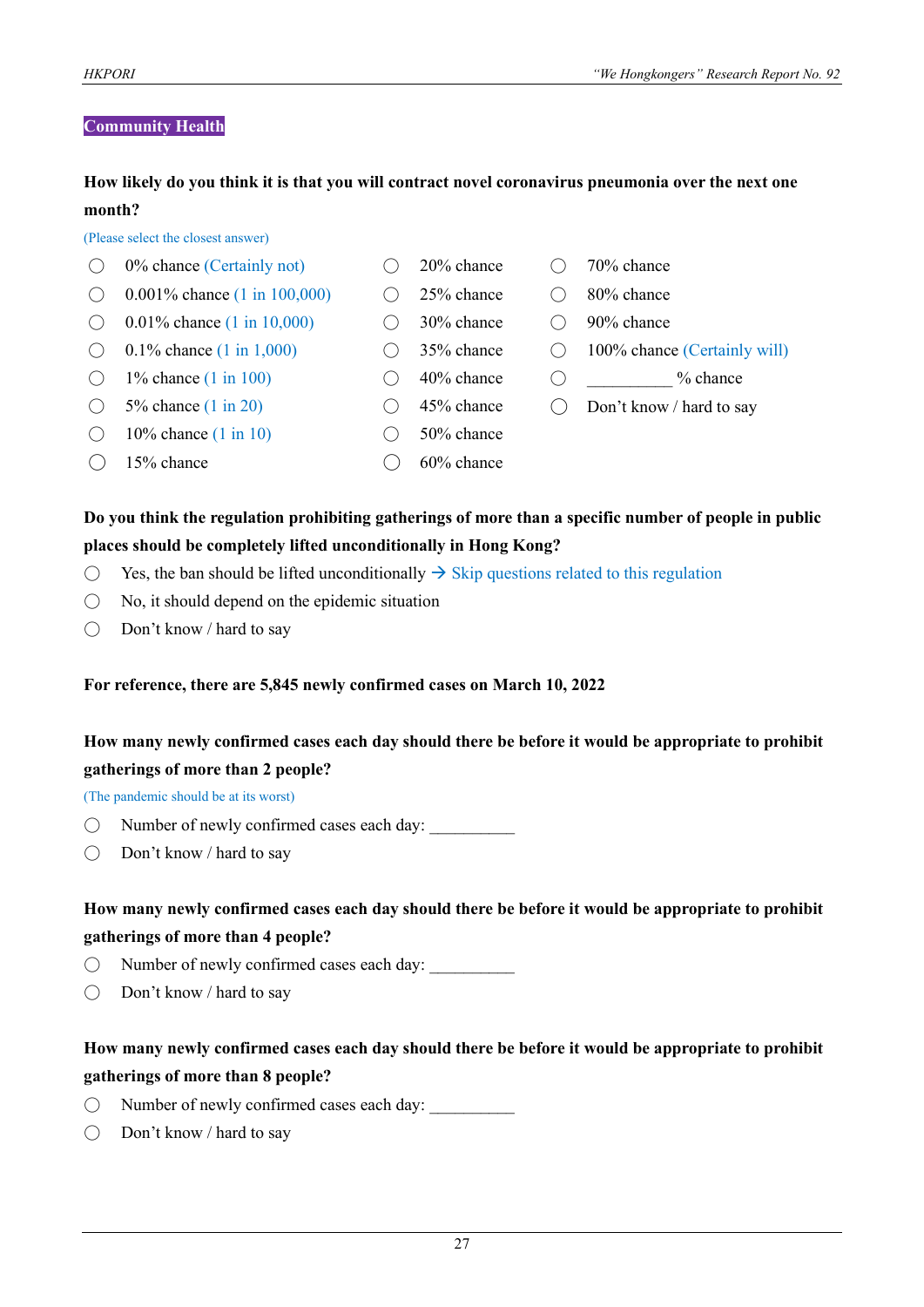#### **Community Health**

#### **How likely do you think it is that you will contract novel coronavirus pneumonia over the next one month?**

(Please select the closest answer)

| 0% chance (Certainly not)                | 20% chance    | 70% chance                   |
|------------------------------------------|---------------|------------------------------|
| 0.001\% chance $(1 \text{ in } 100,000)$ | 25% chance    | 80% chance                   |
| 0.01\% chance $(1 \text{ in } 10,000)$   | 30% chance    | 90% chance                   |
| 0.1% chance $(1 \text{ in } 1,000)$      | 35% chance    | 100% chance (Certainly will) |
| 1% chance $(1 \text{ in } 100)$          | $40\%$ chance | $%$ chance                   |
| 5% chance $(1 \text{ in } 20)$           | 45% chance    | Don't know / hard to say     |
| 10% chance $(1 \text{ in } 10)$          | 50% chance    |                              |
| 15% chance                               | 60% chance    |                              |

#### **Do you think the regulation prohibiting gatherings of more than a specific number of people in public places should be completely lifted unconditionally in Hong Kong?**

- $\bigcirc$  Yes, the ban should be lifted unconditionally  $\rightarrow$  Skip questions related to this regulation
- No, it should depend on the epidemic situation
- $\bigcirc$  Don't know / hard to say

#### **For reference, there are 5,845 newly confirmed cases on March 10, 2022**

#### **How many newly confirmed cases each day should there be before it would be appropriate to prohibit gatherings of more than 2 people?**

(The pandemic should be at its worst)

- $\bigcirc$  Number of newly confirmed cases each day:
- $\bigcirc$  Don't know / hard to say

#### **How many newly confirmed cases each day should there be before it would be appropriate to prohibit gatherings of more than 4 people?**

- $\bigcirc$  Number of newly confirmed cases each day:
- Don't know / hard to say

#### **How many newly confirmed cases each day should there be before it would be appropriate to prohibit gatherings of more than 8 people?**

- $\bigcirc$  Number of newly confirmed cases each day:
- $\bigcirc$  Don't know / hard to say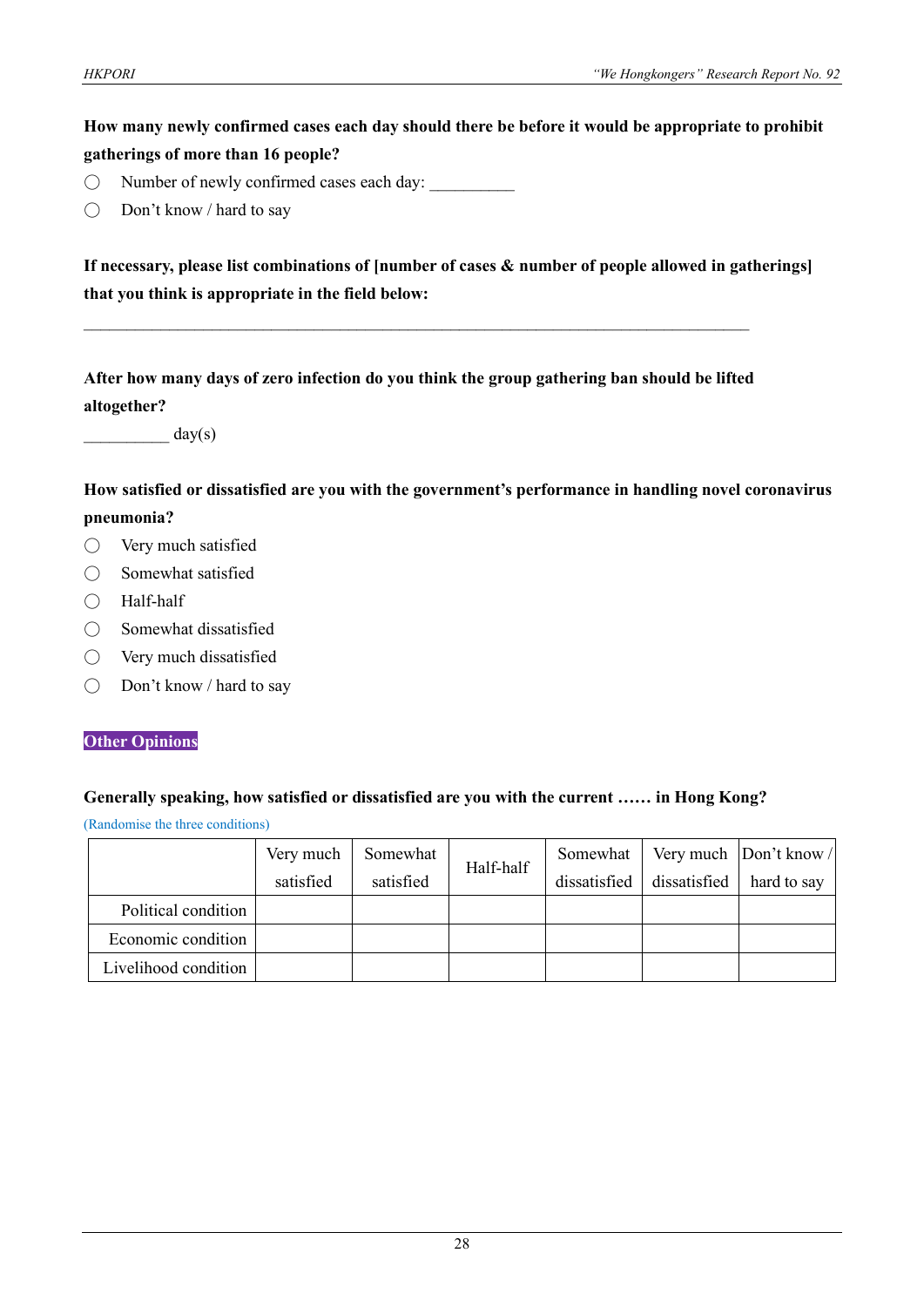# **How many newly confirmed cases each day should there be before it would be appropriate to prohibit gatherings of more than 16 people?**

- $\bigcirc$  Number of newly confirmed cases each day:
- Don't know / hard to say

**If necessary, please list combinations of [number of cases & number of people allowed in gatherings] that you think is appropriate in the field below:**

**After how many days of zero infection do you think the group gathering ban should be lifted altogether?**

 $\mathcal{L}_\mathcal{L} = \{ \mathcal{L}_\mathcal{L} = \{ \mathcal{L}_\mathcal{L} = \{ \mathcal{L}_\mathcal{L} = \{ \mathcal{L}_\mathcal{L} = \{ \mathcal{L}_\mathcal{L} = \{ \mathcal{L}_\mathcal{L} = \{ \mathcal{L}_\mathcal{L} = \{ \mathcal{L}_\mathcal{L} = \{ \mathcal{L}_\mathcal{L} = \{ \mathcal{L}_\mathcal{L} = \{ \mathcal{L}_\mathcal{L} = \{ \mathcal{L}_\mathcal{L} = \{ \mathcal{L}_\mathcal{L} = \{ \mathcal{L}_\mathcal{$ 

 $day(s)$ 

**How satisfied or dissatisfied are you with the government's performance in handling novel coronavirus pneumonia?**

- Very much satisfied
- Somewhat satisfied
- Half-half
- Somewhat dissatisfied
- Very much dissatisfied
- Don't know / hard to say

#### **Other Opinions**

#### **Generally speaking, how satisfied or dissatisfied are you with the current …… in Hong Kong?**

(Randomise the three conditions)

|                      | Very much | Somewhat  |           | Somewhat     |              | Very much  Don't know / |
|----------------------|-----------|-----------|-----------|--------------|--------------|-------------------------|
|                      | satisfied | satisfied | Half-half | dissatisfied | dissatisfied | hard to say             |
| Political condition  |           |           |           |              |              |                         |
| Economic condition   |           |           |           |              |              |                         |
| Livelihood condition |           |           |           |              |              |                         |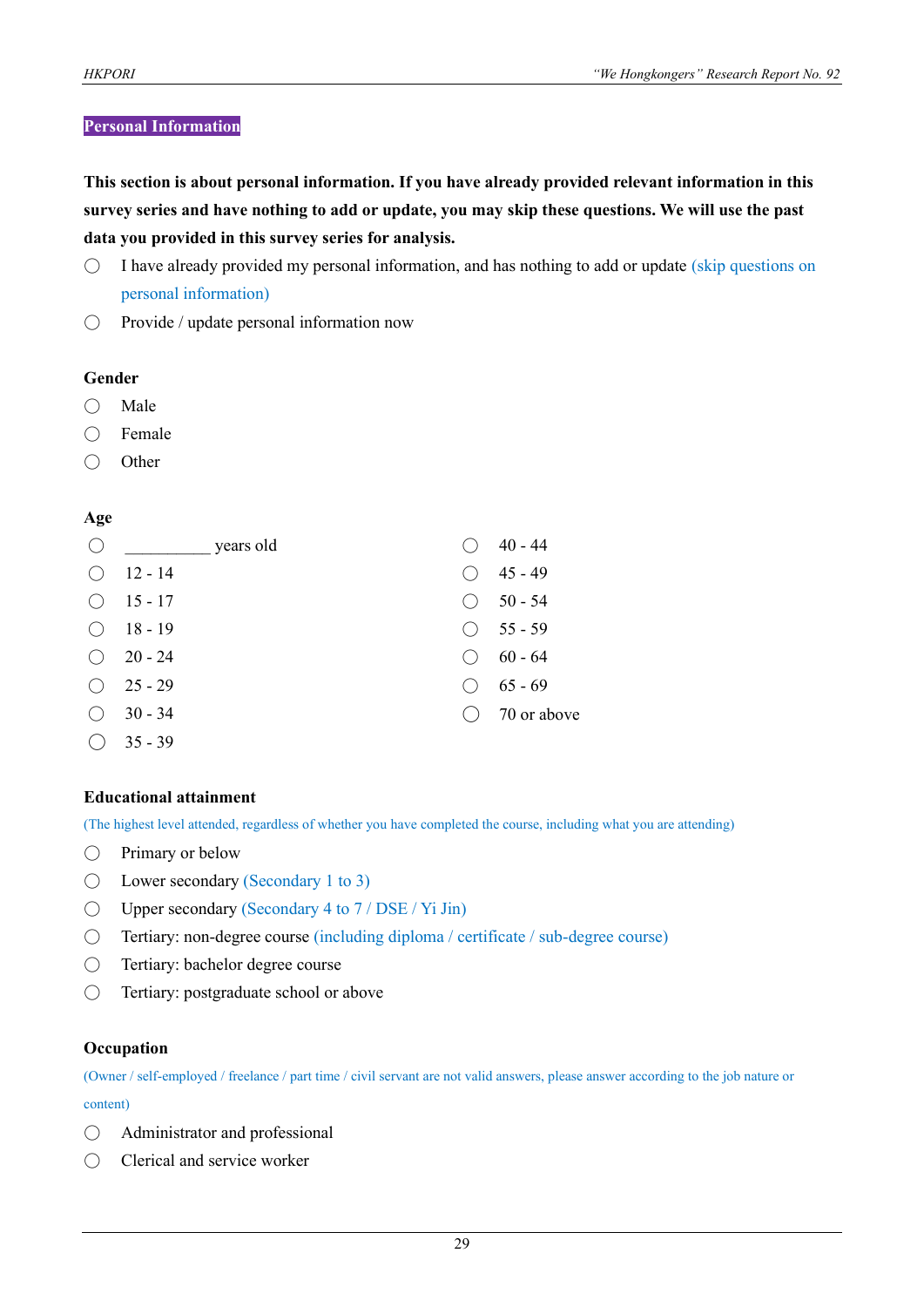#### **Personal Information**

**This section is about personal information. If you have already provided relevant information in this survey series and have nothing to add or update, you may skip these questions. We will use the past data you provided in this survey series for analysis.**

- I have already provided my personal information, and has nothing to add or update (skip questions on personal information)
- Provide / update personal information now

#### **Gender**

- Male
- Female
- Other

#### **Age**

| ( ) | years old |       | 40 - 44            |
|-----|-----------|-------|--------------------|
|     | $12 - 14$ |       | 45 - 49            |
|     | 15 - 17   | ( )   | $50 - 54$          |
| ( ) | 18 - 19   |       | $\bigcirc$ 55 - 59 |
|     | $20 - 24$ | $($ ) | 60 - 64            |
| ( ) | $25 - 29$ |       | $65 - 69$          |
| ( ) | $30 - 34$ |       | 70 or above        |
|     | $35 - 39$ |       |                    |

#### **Educational attainment**

(The highest level attended, regardless of whether you have completed the course, including what you are attending)

- Primary or below
- $\bigcirc$  Lower secondary (Secondary 1 to 3)
- Upper secondary (Secondary 4 to 7 / DSE / Yi Jin)
- Tertiary: non-degree course (including diploma / certificate / sub-degree course)
- Tertiary: bachelor degree course
- Tertiary: postgraduate school or above

#### **Occupation**

(Owner / self-employed / freelance / part time / civil servant are not valid answers, please answer according to the job nature or content)

- Administrator and professional
- Clerical and service worker